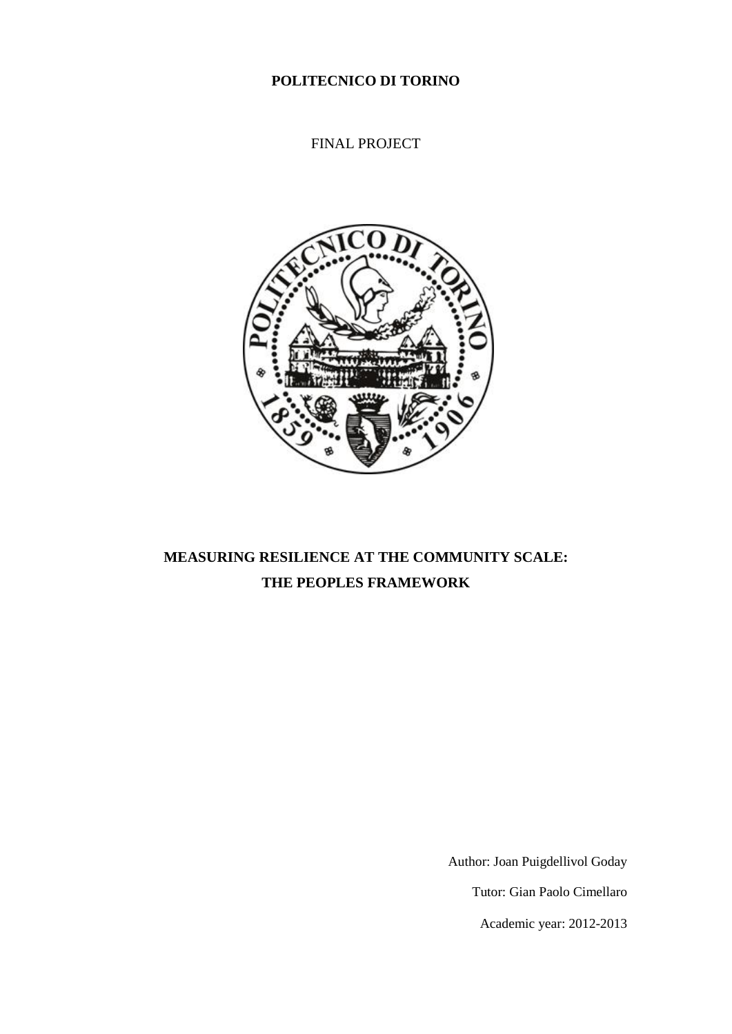**POLITECNICO DI TORINO**

FINAL PROJECT



# **MEASURING RESILIENCE AT THE COMMUNITY SCALE: THE PEOPLES FRAMEWORK**

Author: Joan Puigdellivol Goday

Tutor: Gian Paolo Cimellaro

Academic year: 2012-2013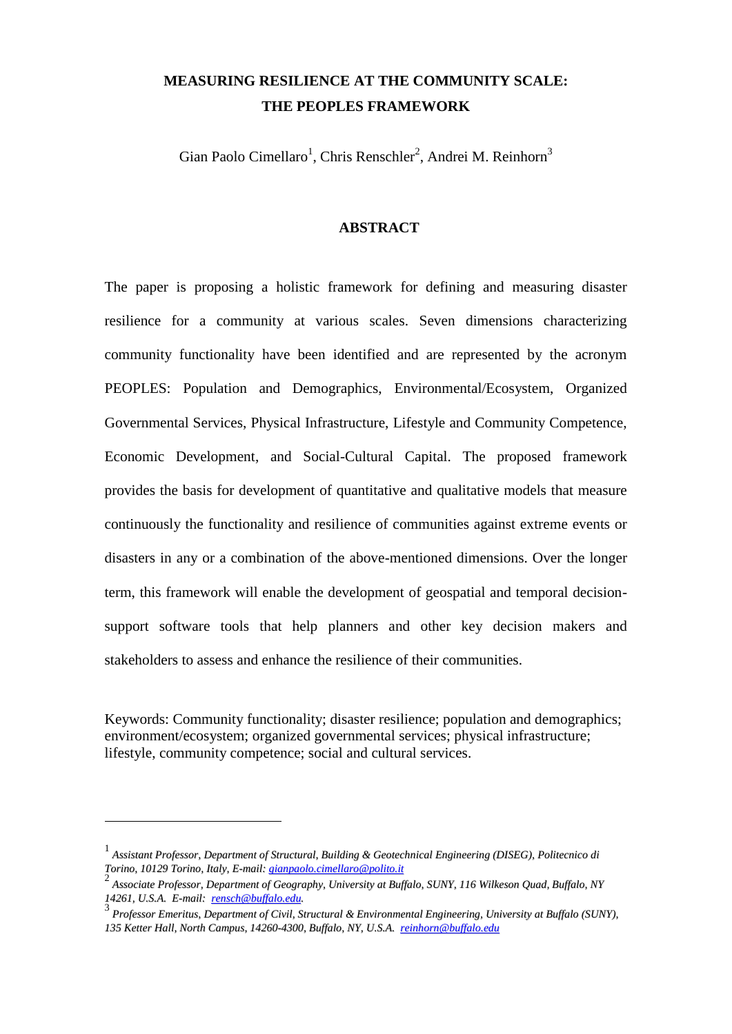# **MEASURING RESILIENCE AT THE COMMUNITY SCALE: THE PEOPLES FRAMEWORK**

Gian Paolo Cimellaro<sup>1</sup>, Chris Renschler<sup>2</sup>, Andrei M. Reinhorn<sup>3</sup>

## **ABSTRACT**

The paper is proposing a holistic framework for defining and measuring disaster resilience for a community at various scales. Seven dimensions characterizing community functionality have been identified and are represented by the acronym PEOPLES: Population and Demographics, Environmental/Ecosystem, Organized Governmental Services, Physical Infrastructure, Lifestyle and Community Competence, Economic Development, and Social-Cultural Capital. The proposed framework provides the basis for development of quantitative and qualitative models that measure continuously the functionality and resilience of communities against extreme events or disasters in any or a combination of the above-mentioned dimensions. Over the longer term, this framework will enable the development of geospatial and temporal decisionsupport software tools that help planners and other key decision makers and stakeholders to assess and enhance the resilience of their communities.

Keywords: Community functionality; disaster resilience; population and demographics; environment/ecosystem; organized governmental services; physical infrastructure; lifestyle, community competence; social and cultural services.

1

<sup>1</sup> *Assistant Professor, Department of Structural, Building & Geotechnical Engineering (DISEG), Politecnico di Torino, 10129 Torino, Italy, E-mail: [gianpaolo.cimellaro@polito.it](mailto:gianpaolo.cimellaro@polito.it)*

<sup>2</sup> *Associate Professor, Department of Geography, University at Buffalo, SUNY, 116 Wilkeson Quad, Buffalo, NY 14261, U.S.A. E-mail: [rensch@buffalo.edu.](mailto:rensch@buffalo.edu)*

<sup>3</sup> *Professor Emeritus, Department of Civil, Structural & Environmental Engineering, University at Buffalo (SUNY), 135 Ketter Hall, North Campus, 14260-4300, Buffalo, NY, U.S.A. [reinhorn@buffalo.edu](mailto:reinhorn@buffalo.edu)*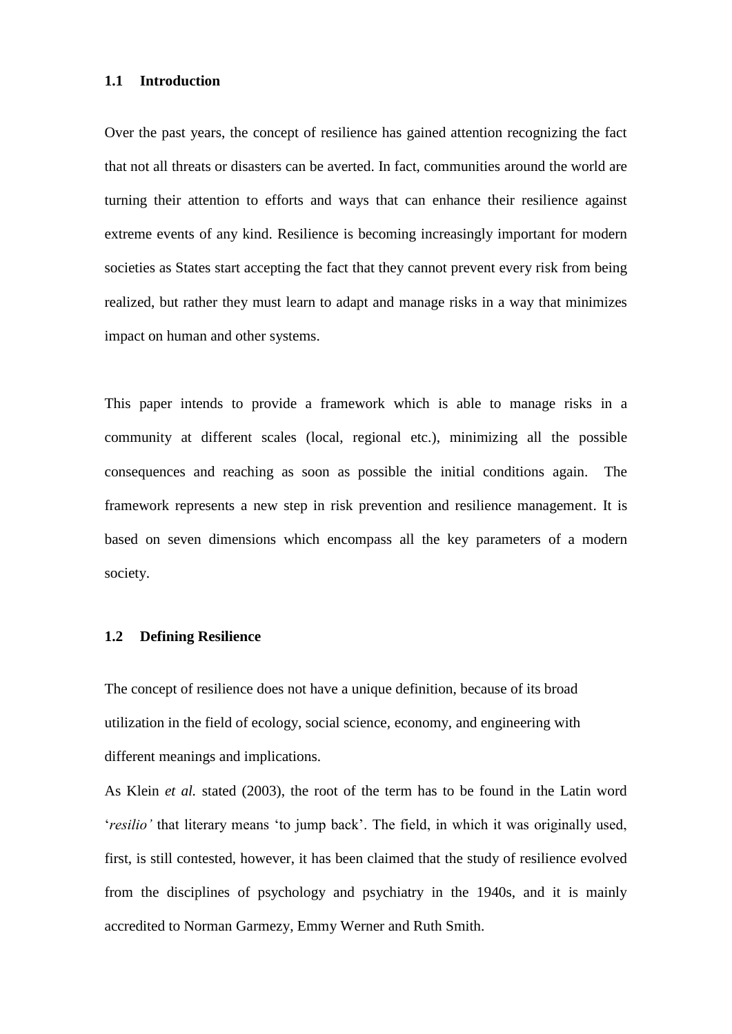#### **1.1 Introduction**

Over the past years, the concept of resilience has gained attention recognizing the fact that not all threats or disasters can be averted. In fact, communities around the world are turning their attention to efforts and ways that can enhance their resilience against extreme events of any kind. Resilience is becoming increasingly important for modern societies as States start accepting the fact that they cannot prevent every risk from being realized, but rather they must learn to adapt and manage risks in a way that minimizes impact on human and other systems.

This paper intends to provide a framework which is able to manage risks in a community at different scales (local, regional etc.), minimizing all the possible consequences and reaching as soon as possible the initial conditions again. The framework represents a new step in risk prevention and resilience management. It is based on seven dimensions which encompass all the key parameters of a modern society.

## **1.2 Defining Resilience**

The concept of resilience does not have a unique definition, because of its broad utilization in the field of ecology, social science, economy, and engineering with different meanings and implications.

As Klein *et al.* stated (2003), the root of the term has to be found in the Latin word '*resilio'* that literary means 'to jump back'. The field, in which it was originally used, first, is still contested, however, it has been claimed that the study of resilience evolved from the disciplines of psychology and psychiatry in the 1940s, and it is mainly accredited to Norman Garmezy, Emmy Werner and Ruth Smith.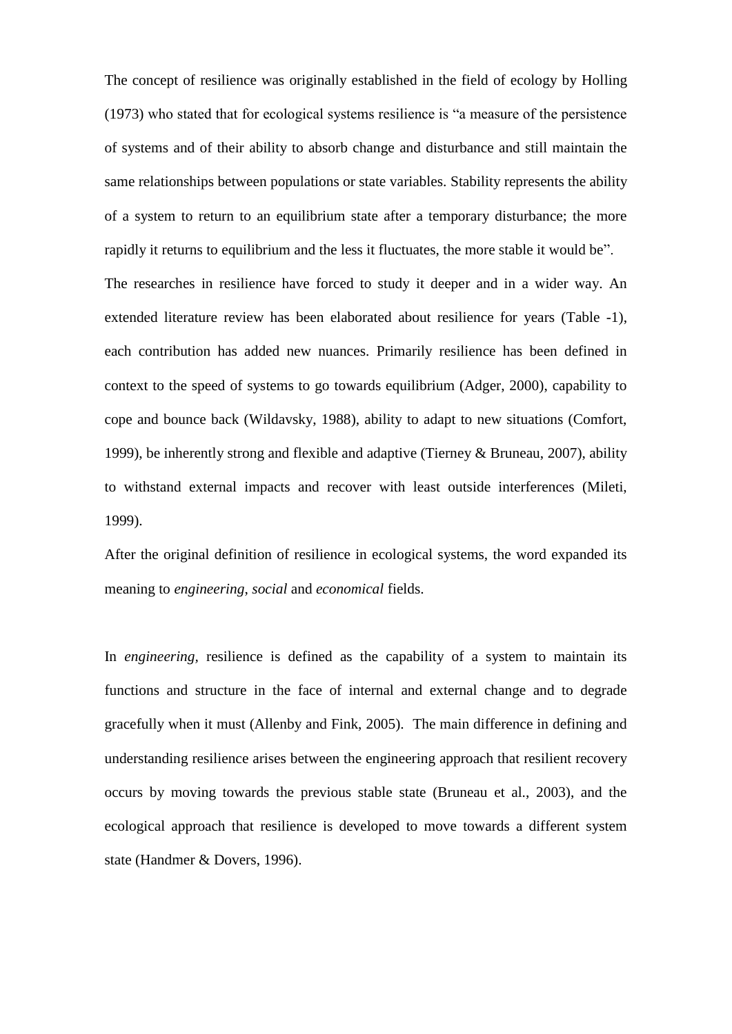The concept of resilience was originally established in the field of ecology by Holling (1973) who stated that for ecological systems resilience is "a measure of the persistence of systems and of their ability to absorb change and disturbance and still maintain the same relationships between populations or state variables. Stability represents the ability of a system to return to an equilibrium state after a temporary disturbance; the more rapidly it returns to equilibrium and the less it fluctuates, the more stable it would be". The researches in resilience have forced to study it deeper and in a wider way. An extended literature review has been elaborated about resilience for years [\(Table -1\)](#page-34-0), each contribution has added new nuances. Primarily resilience has been defined in context to the speed of systems to go towards equilibrium (Adger, 2000), capability to cope and bounce back (Wildavsky, 1988), ability to adapt to new situations (Comfort, 1999), be inherently strong and flexible and adaptive (Tierney & Bruneau, 2007), ability to withstand external impacts and recover with least outside interferences (Mileti, 1999).

After the original definition of resilience in ecological systems, the word expanded its meaning to *engineering*, *social* and *economical* fields.

In *engineering,* resilience is defined as the capability of a system to maintain its functions and structure in the face of internal and external change and to degrade gracefully when it must (Allenby and Fink, 2005). The main difference in defining and understanding resilience arises between the engineering approach that resilient recovery occurs by moving towards the previous stable state (Bruneau et al., 2003), and the ecological approach that resilience is developed to move towards a different system state (Handmer & Dovers, 1996).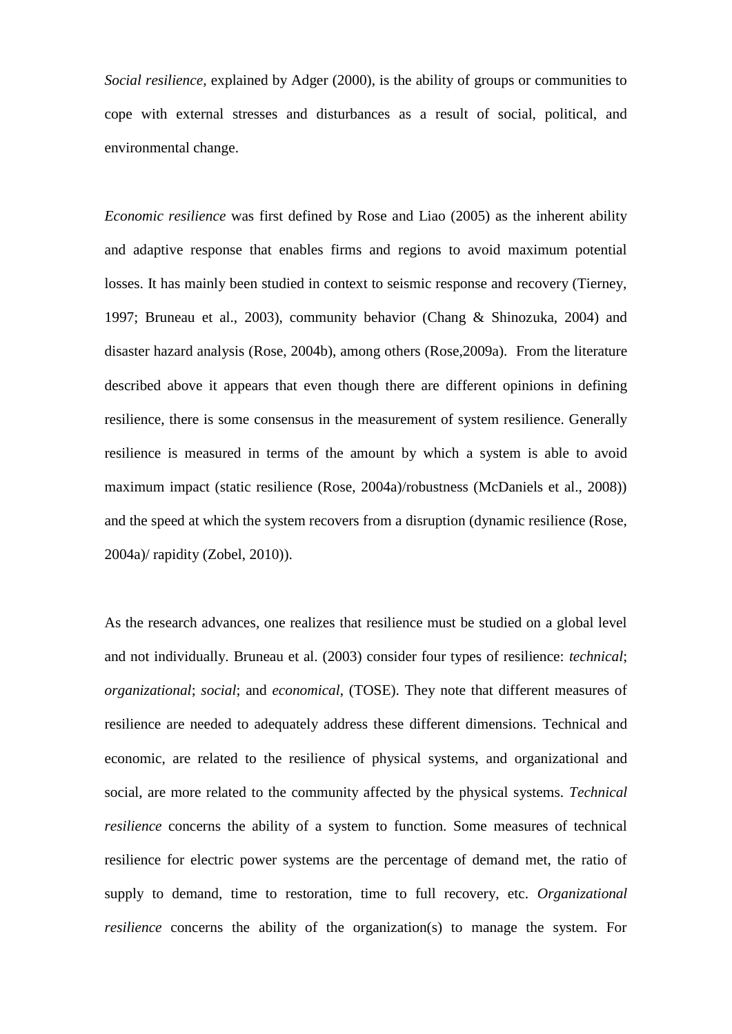*Social resilience*, explained by Adger (2000), is the ability of groups or communities to cope with external stresses and disturbances as a result of social, political, and environmental change.

*Economic resilience* was first defined by Rose and Liao (2005) as the inherent ability and adaptive response that enables firms and regions to avoid maximum potential losses. It has mainly been studied in context to seismic response and recovery (Tierney, 1997; Bruneau et al., 2003), community behavior (Chang & Shinozuka, 2004) and disaster hazard analysis (Rose, 2004b), among others (Rose,2009a). From the literature described above it appears that even though there are different opinions in defining resilience, there is some consensus in the measurement of system resilience. Generally resilience is measured in terms of the amount by which a system is able to avoid maximum impact (static resilience (Rose, 2004a)/robustness (McDaniels et al., 2008)) and the speed at which the system recovers from a disruption (dynamic resilience (Rose, 2004a)/ rapidity (Zobel, 2010)).

As the research advances, one realizes that resilience must be studied on a global level and not individually. Bruneau et al. (2003) consider four types of resilience: *technical*; *organizational*; *social*; and *economical*, (TOSE). They note that different measures of resilience are needed to adequately address these different dimensions. Technical and economic, are related to the resilience of physical systems, and organizational and social, are more related to the community affected by the physical systems. *Technical resilience* concerns the ability of a system to function. Some measures of technical resilience for electric power systems are the percentage of demand met, the ratio of supply to demand, time to restoration, time to full recovery, etc. *Organizational resilience* concerns the ability of the organization(s) to manage the system. For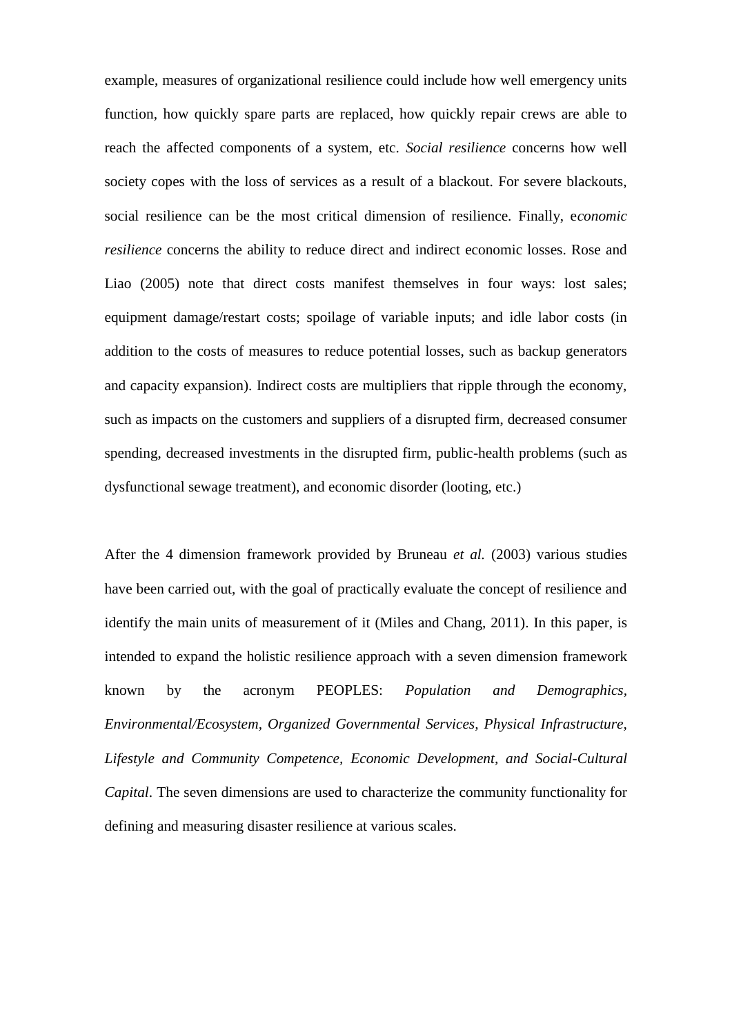example, measures of organizational resilience could include how well emergency units function, how quickly spare parts are replaced, how quickly repair crews are able to reach the affected components of a system, etc. *Social resilience* concerns how well society copes with the loss of services as a result of a blackout. For severe blackouts, social resilience can be the most critical dimension of resilience. Finally, e*conomic resilience* concerns the ability to reduce direct and indirect economic losses. Rose and Liao (2005) note that direct costs manifest themselves in four ways: lost sales; equipment damage/restart costs; spoilage of variable inputs; and idle labor costs (in addition to the costs of measures to reduce potential losses, such as backup generators and capacity expansion). Indirect costs are multipliers that ripple through the economy, such as impacts on the customers and suppliers of a disrupted firm, decreased consumer spending, decreased investments in the disrupted firm, public-health problems (such as dysfunctional sewage treatment), and economic disorder (looting, etc.)

After the 4 dimension framework provided by Bruneau *et al.* (2003) various studies have been carried out, with the goal of practically evaluate the concept of resilience and identify the main units of measurement of it (Miles and Chang, 2011). In this paper, is intended to expand the holistic resilience approach with a seven dimension framework known by the acronym PEOPLES: *Population and Demographics, Environmental/Ecosystem, Organized Governmental Services, Physical Infrastructure, Lifestyle and Community Competence, Economic Development, and Social-Cultural Capital*. The seven dimensions are used to characterize the community functionality for defining and measuring disaster resilience at various scales.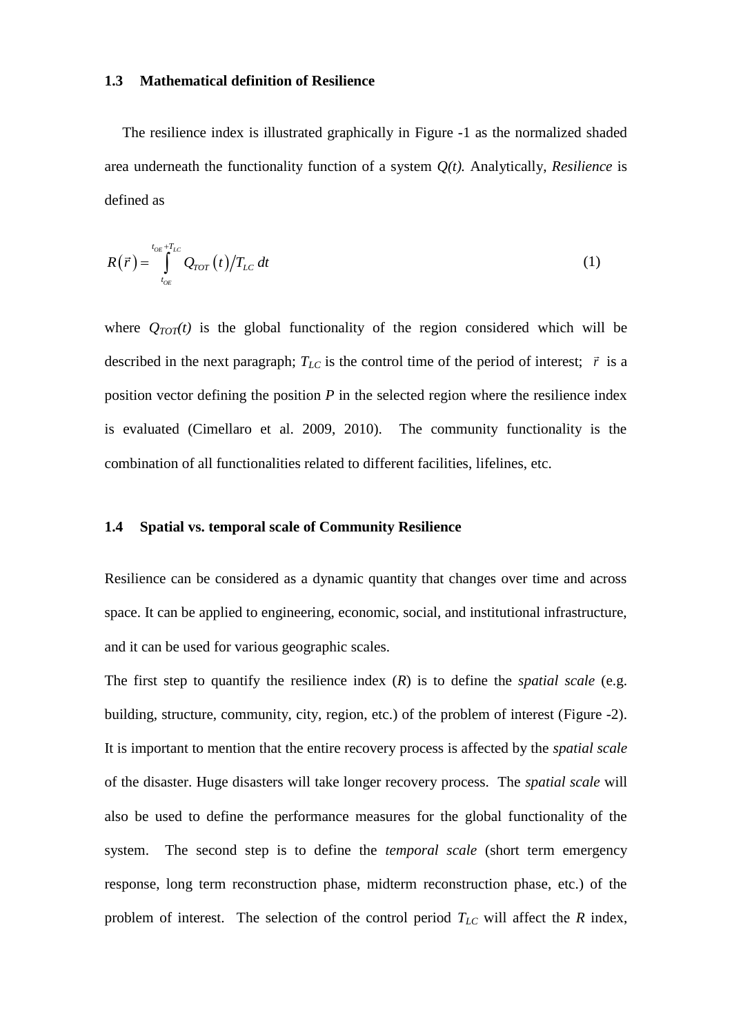#### **1.3 Mathematical definition of Resilience**

The resilience index is illustrated graphically in [Figure -1](#page-39-0) as the normalized shaded area underneath the functionality function of a system *Q(t).* Analytically, *Resilience* is defined as

$$
R(\vec{r}) = \int_{t_{OE}}^{t_{OE}+T_{LC}} Q_{TOT}(t) / T_{LC} dt
$$
\n(1)

where  $Q_{TOT}(t)$  is the global functionality of the region considered which will be described in the next paragraph;  $T_{LC}$  is the control time of the period of interest;  $\vec{r}$  is a position vector defining the position *P* in the selected region where the resilience index is evaluated (Cimellaro et al. 2009, 2010). The community functionality is the combination of all functionalities related to different facilities, lifelines, etc.

#### **1.4 Spatial vs. temporal scale of Community Resilience**

Resilience can be considered as a dynamic quantity that changes over time and across space. It can be applied to engineering, economic, social, and institutional infrastructure, and it can be used for various geographic scales.

The first step to quantify the resilience index  $(R)$  is to define the *spatial scale* (e.g. building, structure, community, city, region, etc.) of the problem of interest [\(Figure -2\)](#page-40-0). It is important to mention that the entire recovery process is affected by the *spatial scale* of the disaster. Huge disasters will take longer recovery process. The *spatial scale* will also be used to define the performance measures for the global functionality of the system. The second step is to define the *temporal scale* (short term emergency response, long term reconstruction phase, midterm reconstruction phase, etc.) of the problem of interest. The selection of the control period  $T_{LC}$  will affect the  $R$  index,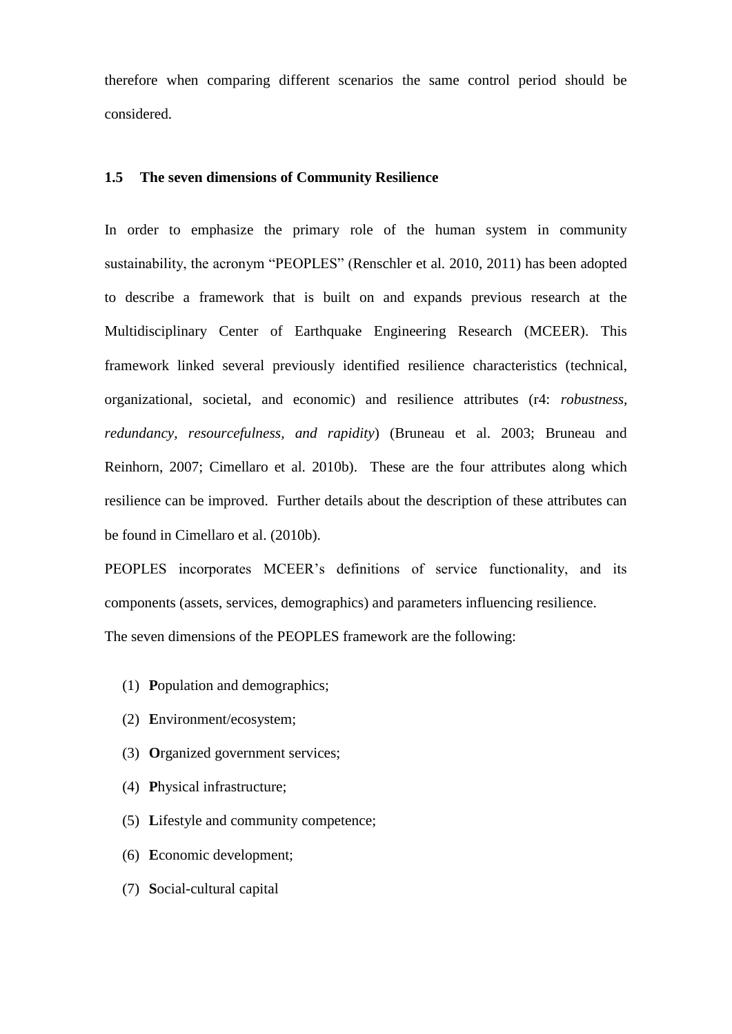therefore when comparing different scenarios the same control period should be considered.

## **1.5 The seven dimensions of Community Resilience**

In order to emphasize the primary role of the human system in community sustainability, the acronym "PEOPLES" (Renschler et al. 2010, 2011) has been adopted to describe a framework that is built on and expands previous research at the Multidisciplinary Center of Earthquake Engineering Research (MCEER). This framework linked several previously identified resilience characteristics (technical, organizational, societal, and economic) and resilience attributes (r4: *robustness, redundancy, resourcefulness, and rapidity*) (Bruneau et al. 2003; Bruneau and Reinhorn, 2007; Cimellaro et al. 2010b). These are the four attributes along which resilience can be improved. Further details about the description of these attributes can be found in Cimellaro et al. (2010b).

PEOPLES incorporates MCEER's definitions of service functionality, and its components (assets, services, demographics) and parameters influencing resilience. The seven dimensions of the PEOPLES framework are the following:

- (1) **P**opulation and demographics;
- (2) **E**nvironment/ecosystem;
- (3) **O**rganized government services;
- (4) **P**hysical infrastructure;
- (5) **L**ifestyle and community competence;
- (6) **E**conomic development;
- (7) **S**ocial-cultural capital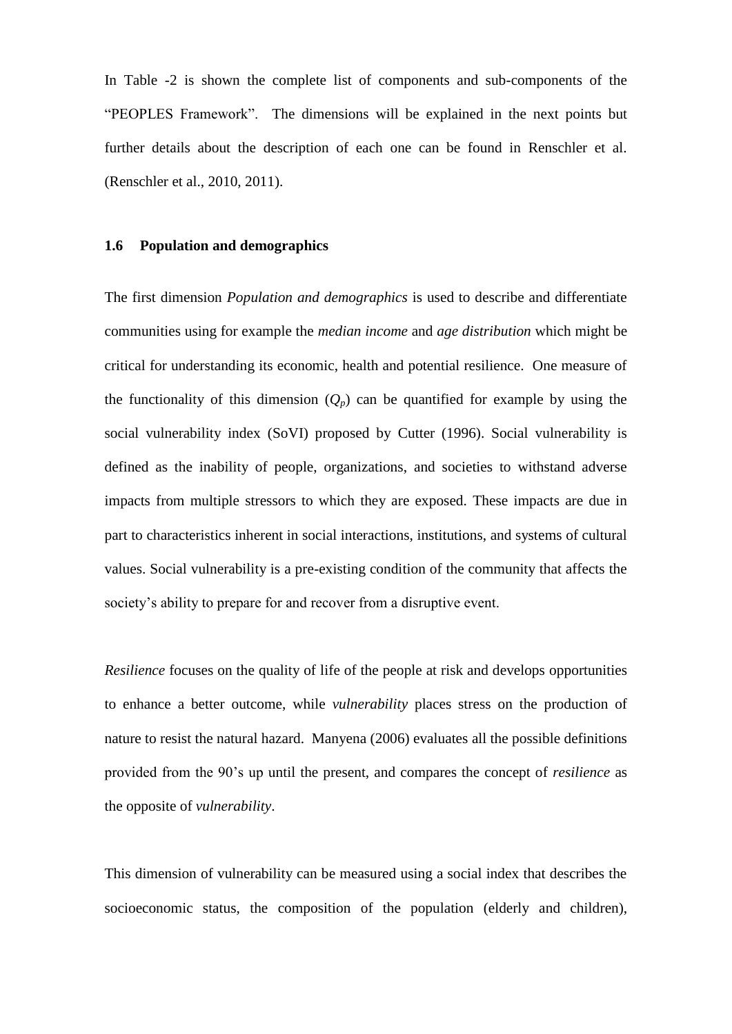In [Table -2](#page-36-0) is shown the complete list of components and sub-components of the "PEOPLES Framework". The dimensions will be explained in the next points but further details about the description of each one can be found in Renschler et al. (Renschler et al., 2010, 2011).

#### **1.6 Population and demographics**

The first dimension *Population and demographics* is used to describe and differentiate communities using for example the *median income* and *age distribution* which might be critical for understanding its economic, health and potential resilience. One measure of the functionality of this dimension  $(Q_p)$  can be quantified for example by using the social vulnerability index (SoVI) proposed by Cutter (1996). Social vulnerability is defined as the inability of people, organizations, and societies to withstand adverse impacts from multiple stressors to which they are exposed. These impacts are due in part to characteristics inherent in social interactions, institutions, and systems of cultural values. Social vulnerability is a pre-existing condition of the community that affects the society's ability to prepare for and recover from a disruptive event.

*Resilience* focuses on the quality of life of the people at risk and develops opportunities to enhance a better outcome, while *vulnerability* places stress on the production of nature to resist the natural hazard. Manyena (2006) evaluates all the possible definitions provided from the 90's up until the present, and compares the concept of *resilience* as the opposite of *vulnerability*.

This dimension of vulnerability can be measured using a social index that describes the socioeconomic status, the composition of the population (elderly and children),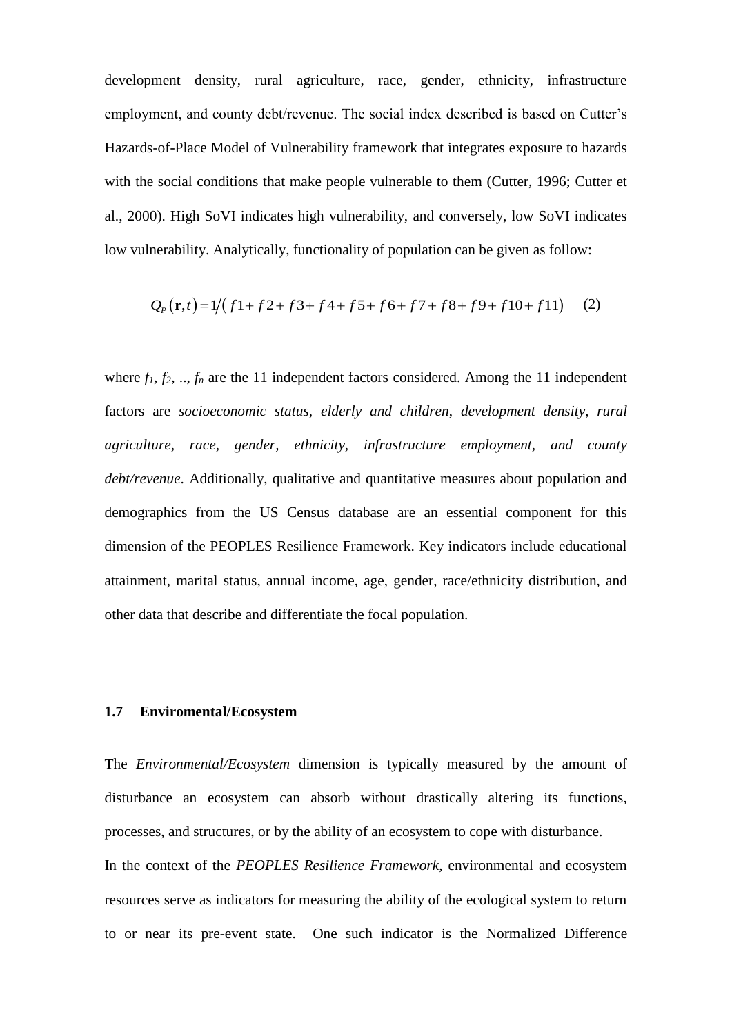development density, rural agriculture, race, gender, ethnicity, infrastructure employment, and county debt/revenue. The social index described is based on Cutter's Hazards-of-Place Model of Vulnerability framework that integrates exposure to hazards with the social conditions that make people vulnerable to them (Cutter, 1996; Cutter et al., 2000). High SoVI indicates high vulnerability, and conversely, low SoVI indicates low vulnerability. Analytically, functionality of population can be given as follow:<br>  $Q_P(\mathbf{r}, t) = 1/(f1 + f2 + f3 + f4 + f5 + f6 + f7 + f8 + f9 + f10 + f11)$  (2)

$$
Q_p(\mathbf{r},t) = 1/(f1+f2+f3+f4+f5+f6+f7+f8+f9+f10+f11)
$$
 (2)

where  $f_1, f_2, \ldots, f_n$  are the 11 independent factors considered. Among the 11 independent factors are *socioeconomic status*, *elderly and children*, *development density*, *rural agriculture, race, gender, ethnicity, infrastructure employment, and county debt/revenue*. Additionally, qualitative and quantitative measures about population and demographics from the US Census database are an essential component for this dimension of the PEOPLES Resilience Framework. Key indicators include educational attainment, marital status, annual income, age, gender, race/ethnicity distribution, and other data that describe and differentiate the focal population.

## **1.7 Enviromental/Ecosystem**

The *Environmental/Ecosystem* dimension is typically measured by the amount of disturbance an ecosystem can absorb without drastically altering its functions, processes, and structures, or by the ability of an ecosystem to cope with disturbance. In the context of the *PEOPLES Resilience Framework*, environmental and ecosystem resources serve as indicators for measuring the ability of the ecological system to return to or near its pre-event state. One such indicator is the Normalized Difference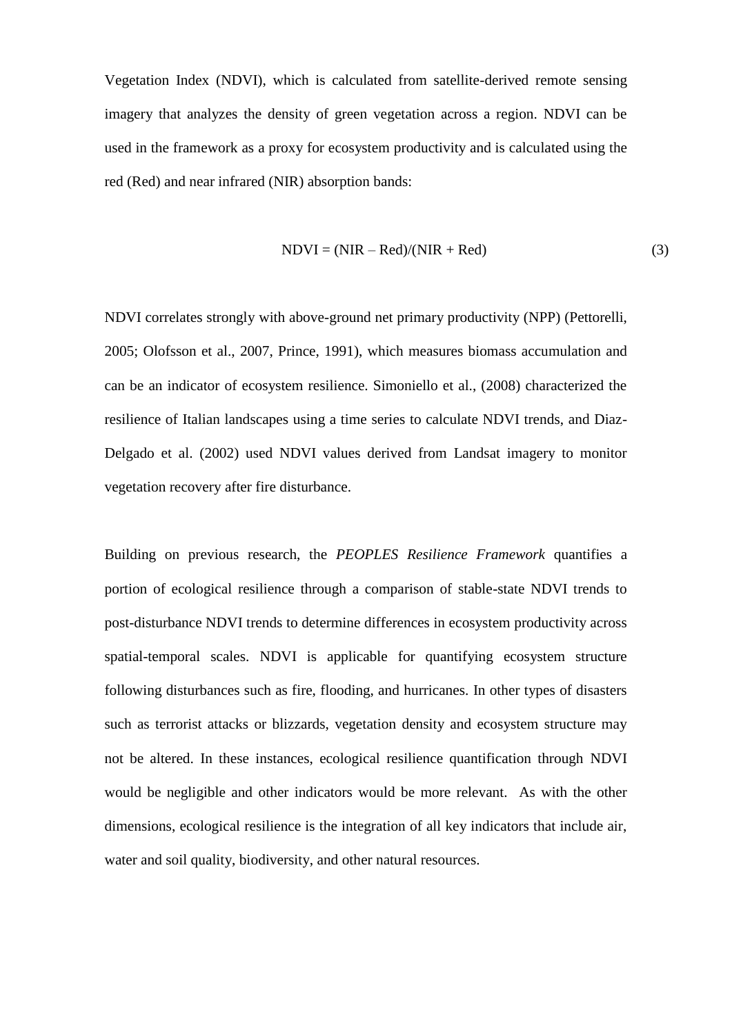Vegetation Index (NDVI), which is calculated from satellite-derived remote sensing imagery that analyzes the density of green vegetation across a region. NDVI can be used in the framework as a proxy for ecosystem productivity and is calculated using the red (Red) and near infrared (NIR) absorption bands:

$$
NDVI = (NIR - Red)/(NIR + Red)
$$
 (3)

NDVI correlates strongly with above-ground net primary productivity (NPP) (Pettorelli, 2005; Olofsson et al., 2007, Prince, 1991), which measures biomass accumulation and can be an indicator of ecosystem resilience. Simoniello et al., (2008) characterized the resilience of Italian landscapes using a time series to calculate NDVI trends, and Diaz-Delgado et al. (2002) used NDVI values derived from Landsat imagery to monitor vegetation recovery after fire disturbance.

Building on previous research, the *PEOPLES Resilience Framework* quantifies a portion of ecological resilience through a comparison of stable-state NDVI trends to post-disturbance NDVI trends to determine differences in ecosystem productivity across spatial-temporal scales. NDVI is applicable for quantifying ecosystem structure following disturbances such as fire, flooding, and hurricanes. In other types of disasters such as terrorist attacks or blizzards, vegetation density and ecosystem structure may not be altered. In these instances, ecological resilience quantification through NDVI would be negligible and other indicators would be more relevant. As with the other dimensions, ecological resilience is the integration of all key indicators that include air, water and soil quality, biodiversity, and other natural resources.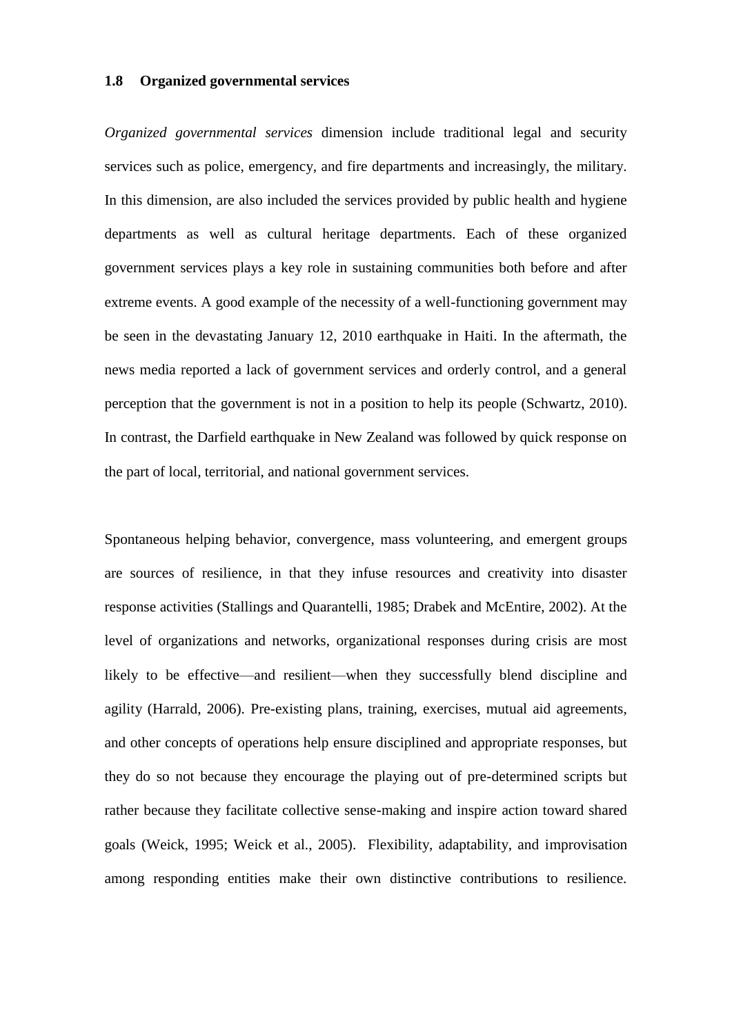#### **1.8 Organized governmental services**

*Organized governmental services* dimension include traditional legal and security services such as police, emergency, and fire departments and increasingly, the military. In this dimension, are also included the services provided by public health and hygiene departments as well as cultural heritage departments. Each of these organized government services plays a key role in sustaining communities both before and after extreme events. A good example of the necessity of a well-functioning government may be seen in the devastating January 12, 2010 earthquake in Haiti. In the aftermath, the news media reported a lack of government services and orderly control, and a general perception that the government is not in a position to help its people (Schwartz, 2010). In contrast, the Darfield earthquake in New Zealand was followed by quick response on the part of local, territorial, and national government services.

Spontaneous helping behavior, convergence, mass volunteering, and emergent groups are sources of resilience, in that they infuse resources and creativity into disaster response activities (Stallings and Quarantelli, 1985; Drabek and McEntire, 2002). At the level of organizations and networks, organizational responses during crisis are most likely to be effective—and resilient—when they successfully blend discipline and agility (Harrald, 2006). Pre-existing plans, training, exercises, mutual aid agreements, and other concepts of operations help ensure disciplined and appropriate responses, but they do so not because they encourage the playing out of pre-determined scripts but rather because they facilitate collective sense-making and inspire action toward shared goals (Weick, 1995; Weick et al., 2005). Flexibility, adaptability, and improvisation among responding entities make their own distinctive contributions to resilience.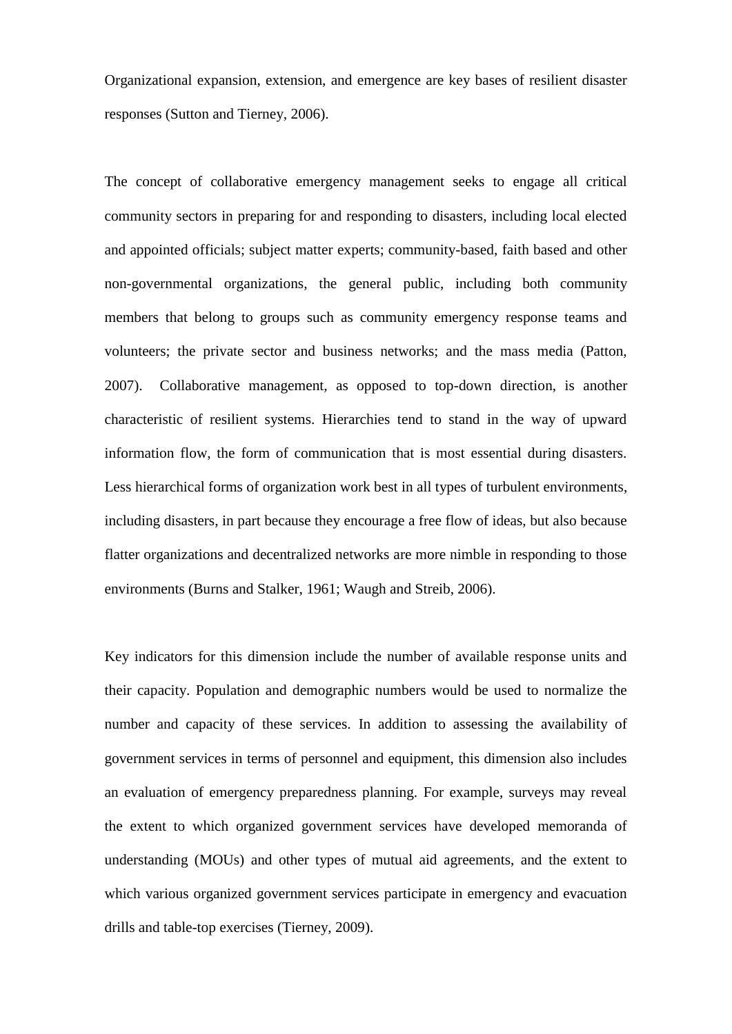Organizational expansion, extension, and emergence are key bases of resilient disaster responses (Sutton and Tierney, 2006).

The concept of collaborative emergency management seeks to engage all critical community sectors in preparing for and responding to disasters, including local elected and appointed officials; subject matter experts; community-based, faith based and other non-governmental organizations, the general public, including both community members that belong to groups such as community emergency response teams and volunteers; the private sector and business networks; and the mass media (Patton, 2007). Collaborative management, as opposed to top-down direction, is another characteristic of resilient systems. Hierarchies tend to stand in the way of upward information flow, the form of communication that is most essential during disasters. Less hierarchical forms of organization work best in all types of turbulent environments, including disasters, in part because they encourage a free flow of ideas, but also because flatter organizations and decentralized networks are more nimble in responding to those environments (Burns and Stalker, 1961; Waugh and Streib, 2006).

Key indicators for this dimension include the number of available response units and their capacity. Population and demographic numbers would be used to normalize the number and capacity of these services. In addition to assessing the availability of government services in terms of personnel and equipment, this dimension also includes an evaluation of emergency preparedness planning. For example, surveys may reveal the extent to which organized government services have developed memoranda of understanding (MOUs) and other types of mutual aid agreements, and the extent to which various organized government services participate in emergency and evacuation drills and table-top exercises (Tierney, 2009).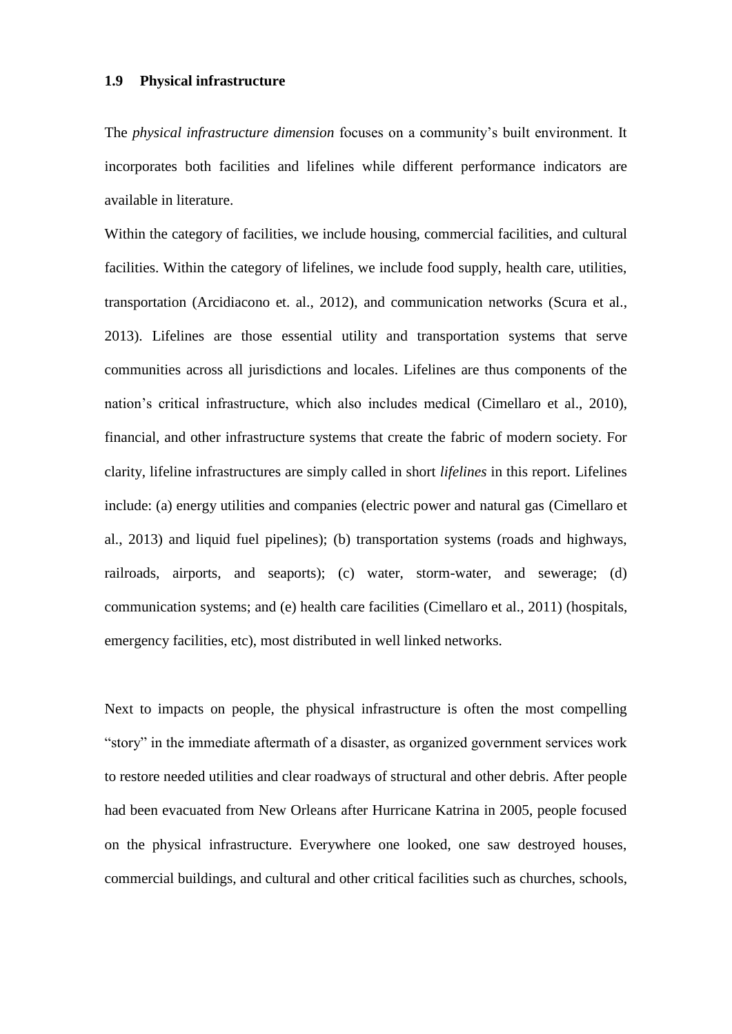#### **1.9 Physical infrastructure**

The *physical infrastructure dimension* focuses on a community's built environment. It incorporates both facilities and lifelines while different performance indicators are available in literature.

Within the category of facilities, we include housing, commercial facilities, and cultural facilities. Within the category of lifelines, we include food supply, health care, utilities, transportation (Arcidiacono et. al., 2012), and communication networks (Scura et al., 2013). Lifelines are those essential utility and transportation systems that serve communities across all jurisdictions and locales. Lifelines are thus components of the nation's critical infrastructure, which also includes medical (Cimellaro et al., 2010), financial, and other infrastructure systems that create the fabric of modern society. For clarity, lifeline infrastructures are simply called in short *lifelines* in this report. Lifelines include: (a) energy utilities and companies (electric power and natural gas (Cimellaro et al., 2013) and liquid fuel pipelines); (b) transportation systems (roads and highways, railroads, airports, and seaports); (c) water, storm-water, and sewerage; (d) communication systems; and (e) health care facilities (Cimellaro et al., 2011) (hospitals, emergency facilities, etc), most distributed in well linked networks.

Next to impacts on people, the physical infrastructure is often the most compelling "story" in the immediate aftermath of a disaster, as organized government services work to restore needed utilities and clear roadways of structural and other debris. After people had been evacuated from New Orleans after Hurricane Katrina in 2005, people focused on the physical infrastructure. Everywhere one looked, one saw destroyed houses, commercial buildings, and cultural and other critical facilities such as churches, schools,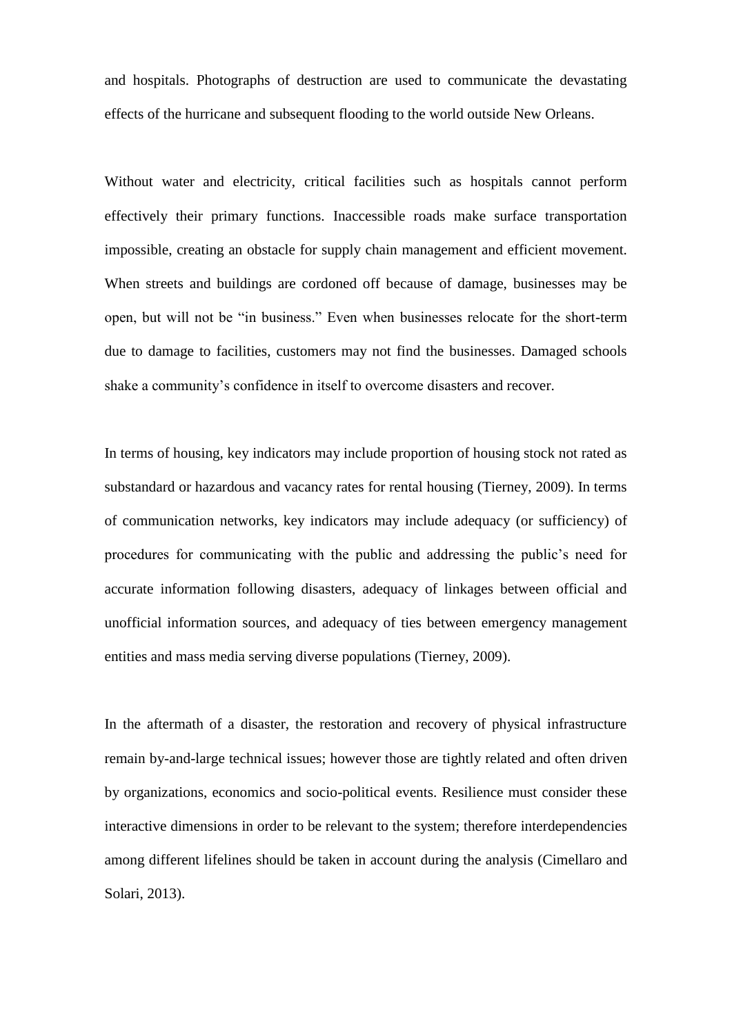and hospitals. Photographs of destruction are used to communicate the devastating effects of the hurricane and subsequent flooding to the world outside New Orleans.

Without water and electricity, critical facilities such as hospitals cannot perform effectively their primary functions. Inaccessible roads make surface transportation impossible, creating an obstacle for supply chain management and efficient movement. When streets and buildings are cordoned off because of damage, businesses may be open, but will not be "in business." Even when businesses relocate for the short-term due to damage to facilities, customers may not find the businesses. Damaged schools shake a community's confidence in itself to overcome disasters and recover.

In terms of housing, key indicators may include proportion of housing stock not rated as substandard or hazardous and vacancy rates for rental housing (Tierney, 2009). In terms of communication networks, key indicators may include adequacy (or sufficiency) of procedures for communicating with the public and addressing the public's need for accurate information following disasters, adequacy of linkages between official and unofficial information sources, and adequacy of ties between emergency management entities and mass media serving diverse populations (Tierney, 2009).

In the aftermath of a disaster, the restoration and recovery of physical infrastructure remain by-and-large technical issues; however those are tightly related and often driven by organizations, economics and socio-political events. Resilience must consider these interactive dimensions in order to be relevant to the system; therefore interdependencies among different lifelines should be taken in account during the analysis (Cimellaro and Solari, 2013).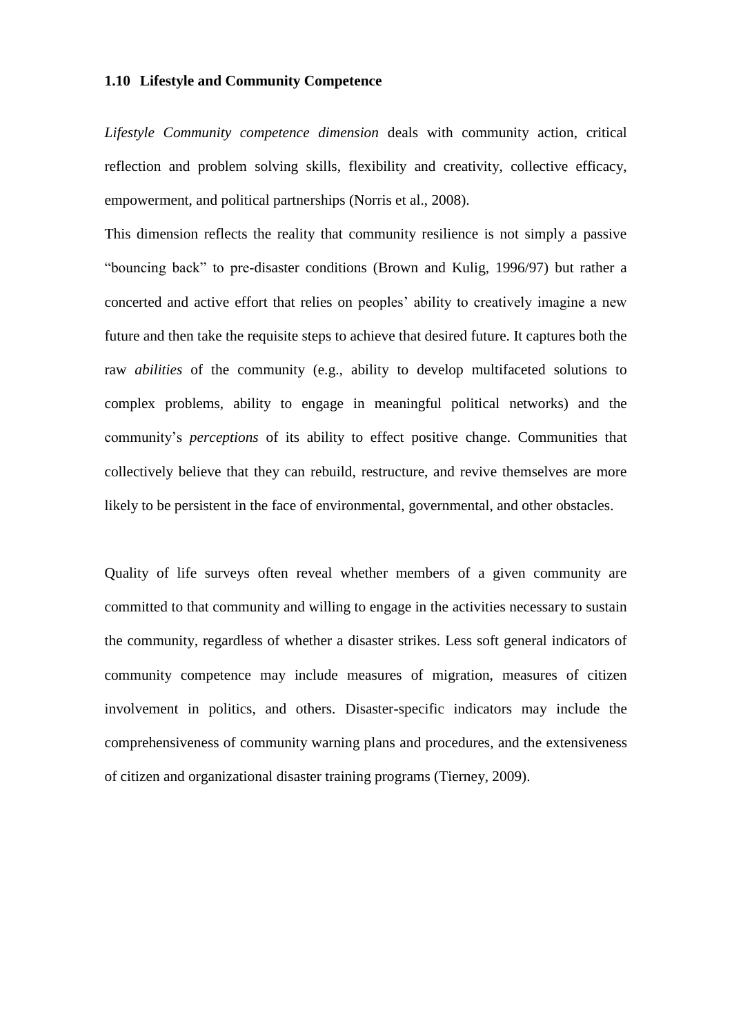## **1.10 Lifestyle and Community Competence**

*Lifestyle Community competence dimension* deals with community action, critical reflection and problem solving skills, flexibility and creativity, collective efficacy, empowerment, and political partnerships (Norris et al., 2008).

This dimension reflects the reality that community resilience is not simply a passive "bouncing back" to pre-disaster conditions (Brown and Kulig, 1996/97) but rather a concerted and active effort that relies on peoples' ability to creatively imagine a new future and then take the requisite steps to achieve that desired future. It captures both the raw *abilities* of the community (e.g., ability to develop multifaceted solutions to complex problems, ability to engage in meaningful political networks) and the community's *perceptions* of its ability to effect positive change. Communities that collectively believe that they can rebuild, restructure, and revive themselves are more likely to be persistent in the face of environmental, governmental, and other obstacles.

Quality of life surveys often reveal whether members of a given community are committed to that community and willing to engage in the activities necessary to sustain the community, regardless of whether a disaster strikes. Less soft general indicators of community competence may include measures of migration, measures of citizen involvement in politics, and others. Disaster-specific indicators may include the comprehensiveness of community warning plans and procedures, and the extensiveness of citizen and organizational disaster training programs (Tierney, 2009).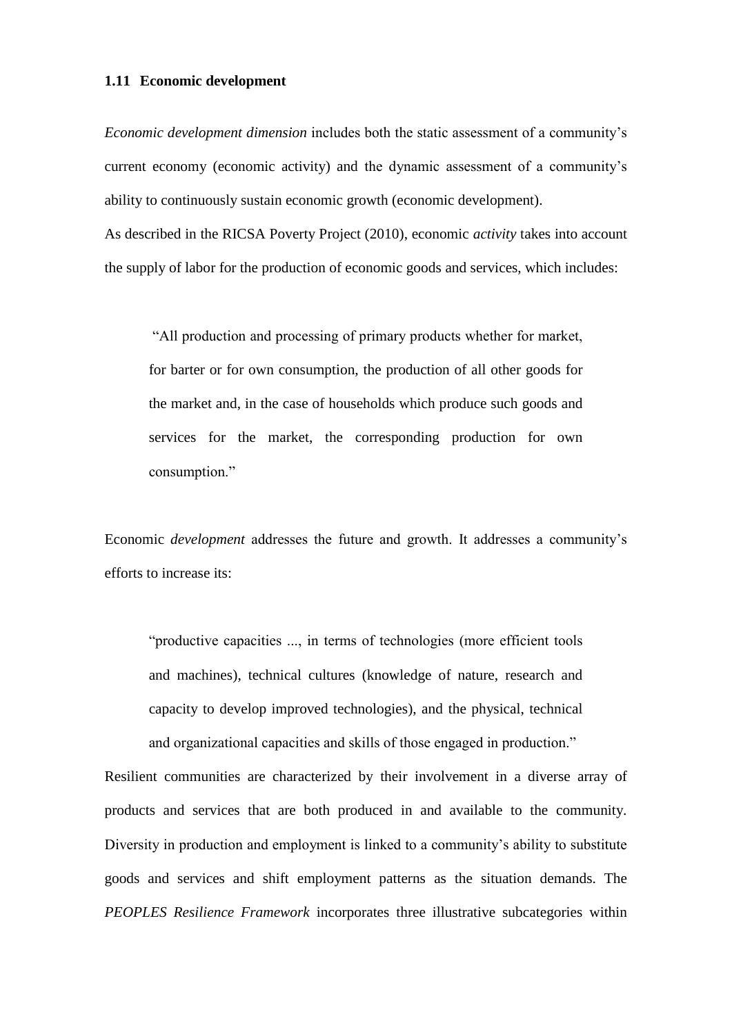#### **1.11 Economic development**

*Economic development dimension* includes both the static assessment of a community's current economy (economic activity) and the dynamic assessment of a community's ability to continuously sustain economic growth (economic development). As described in the RICSA Poverty Project (2010), economic *activity* takes into account

the supply of labor for the production of economic goods and services, which includes:

"All production and processing of primary products whether for market, for barter or for own consumption, the production of all other goods for the market and, in the case of households which produce such goods and services for the market, the corresponding production for own consumption."

Economic *development* addresses the future and growth. It addresses a community's efforts to increase its:

"productive capacities ..., in terms of technologies (more efficient tools and machines), technical cultures (knowledge of nature, research and capacity to develop improved technologies), and the physical, technical and organizational capacities and skills of those engaged in production."

Resilient communities are characterized by their involvement in a diverse array of products and services that are both produced in and available to the community. Diversity in production and employment is linked to a community's ability to substitute goods and services and shift employment patterns as the situation demands. The *PEOPLES Resilience Framework* incorporates three illustrative subcategories within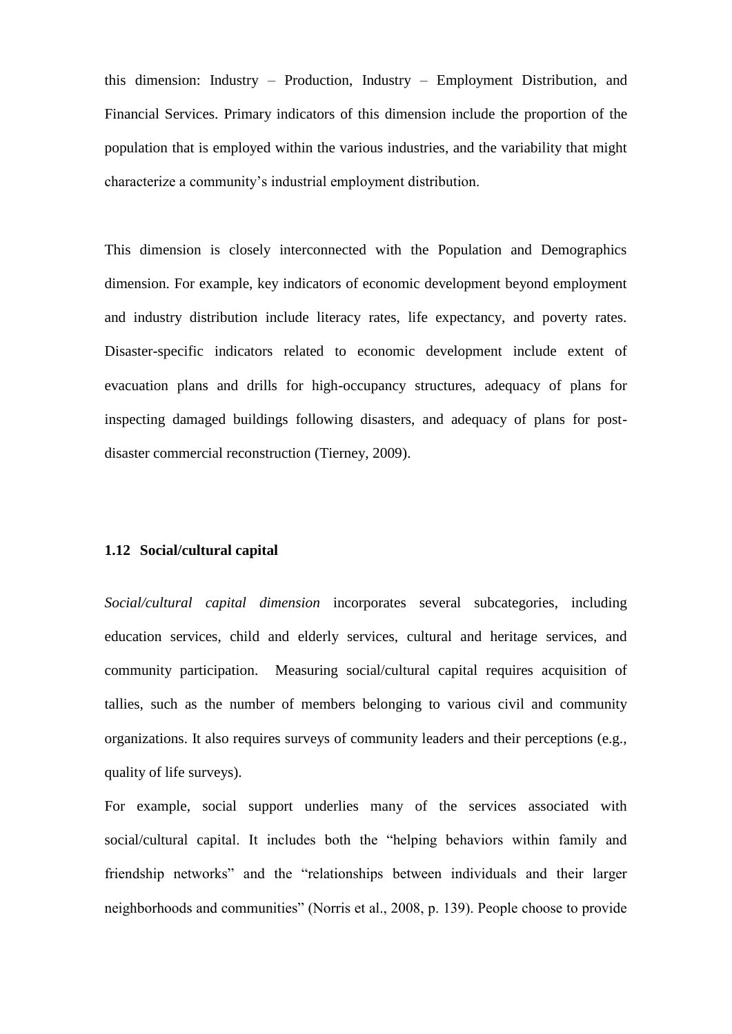this dimension: Industry – Production, Industry – Employment Distribution, and Financial Services. Primary indicators of this dimension include the proportion of the population that is employed within the various industries, and the variability that might characterize a community's industrial employment distribution.

This dimension is closely interconnected with the Population and Demographics dimension. For example, key indicators of economic development beyond employment and industry distribution include literacy rates, life expectancy, and poverty rates. Disaster-specific indicators related to economic development include extent of evacuation plans and drills for high-occupancy structures, adequacy of plans for inspecting damaged buildings following disasters, and adequacy of plans for postdisaster commercial reconstruction (Tierney, 2009).

## **1.12 Social/cultural capital**

*Social/cultural capital dimension* incorporates several subcategories, including education services, child and elderly services, cultural and heritage services, and community participation. Measuring social/cultural capital requires acquisition of tallies, such as the number of members belonging to various civil and community organizations. It also requires surveys of community leaders and their perceptions (e.g., quality of life surveys).

For example, social support underlies many of the services associated with social/cultural capital. It includes both the "helping behaviors within family and friendship networks" and the "relationships between individuals and their larger neighborhoods and communities" (Norris et al., 2008, p. 139). People choose to provide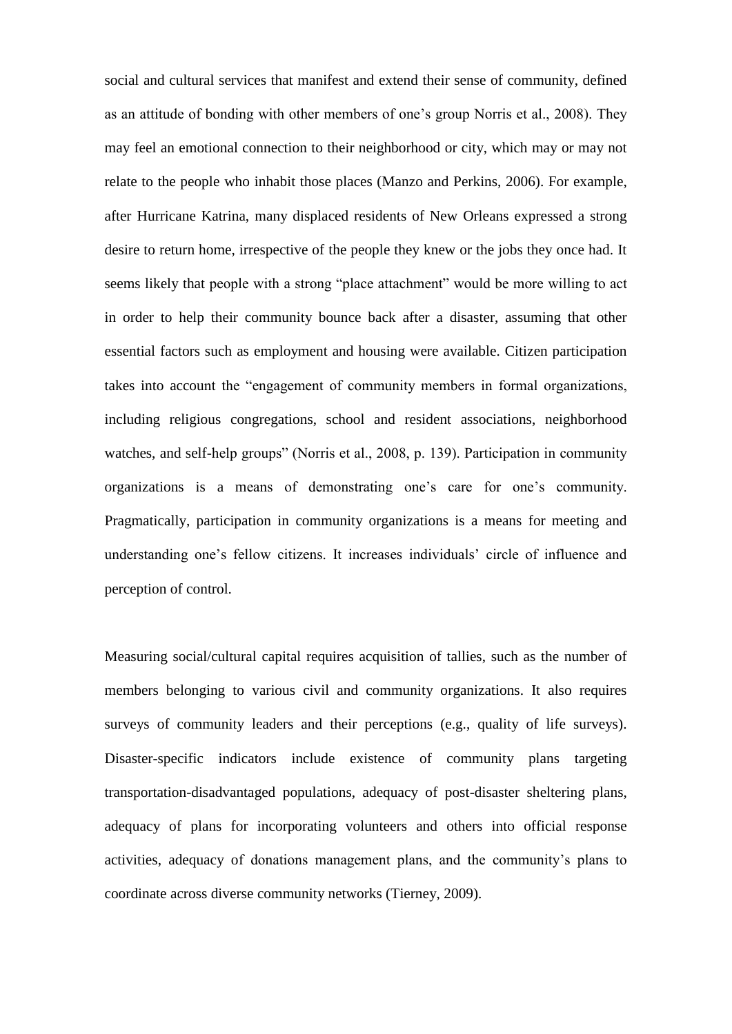social and cultural services that manifest and extend their sense of community, defined as an attitude of bonding with other members of one's group Norris et al., 2008). They may feel an emotional connection to their neighborhood or city, which may or may not relate to the people who inhabit those places (Manzo and Perkins, 2006). For example, after Hurricane Katrina, many displaced residents of New Orleans expressed a strong desire to return home, irrespective of the people they knew or the jobs they once had. It seems likely that people with a strong "place attachment" would be more willing to act in order to help their community bounce back after a disaster, assuming that other essential factors such as employment and housing were available. Citizen participation takes into account the "engagement of community members in formal organizations, including religious congregations, school and resident associations, neighborhood watches, and self-help groups" (Norris et al., 2008, p. 139). Participation in community organizations is a means of demonstrating one's care for one's community. Pragmatically, participation in community organizations is a means for meeting and understanding one's fellow citizens. It increases individuals' circle of influence and perception of control.

Measuring social/cultural capital requires acquisition of tallies, such as the number of members belonging to various civil and community organizations. It also requires surveys of community leaders and their perceptions (e.g., quality of life surveys). Disaster-specific indicators include existence of community plans targeting transportation-disadvantaged populations, adequacy of post-disaster sheltering plans, adequacy of plans for incorporating volunteers and others into official response activities, adequacy of donations management plans, and the community's plans to coordinate across diverse community networks (Tierney, 2009).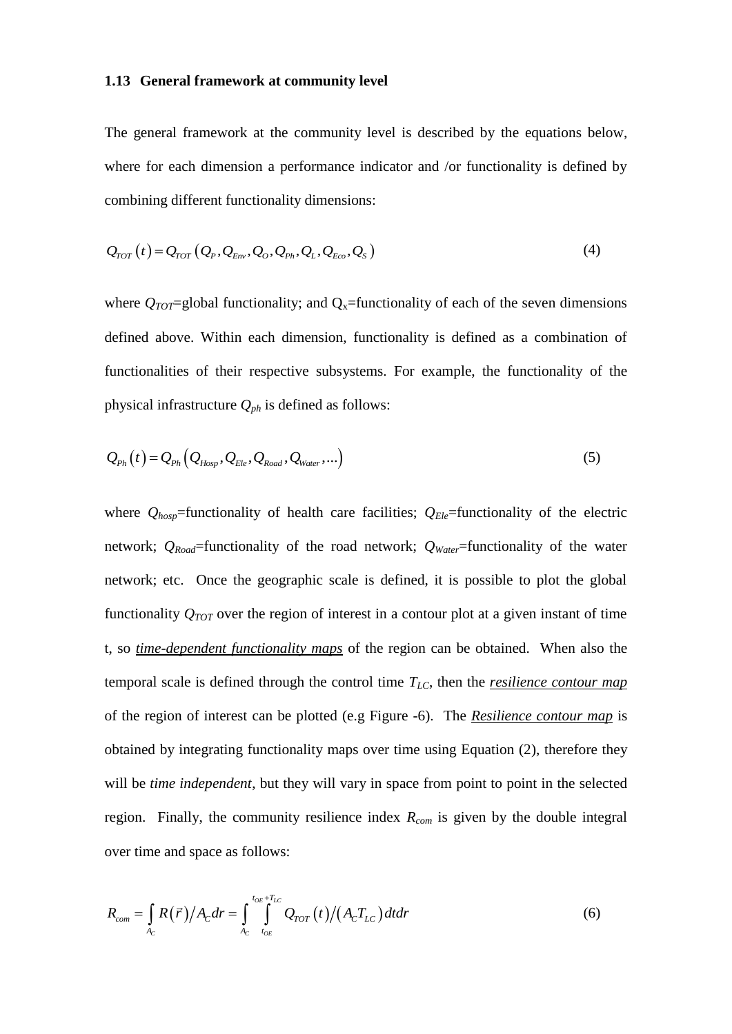#### **1.13 General framework at community level**

The general framework at the community level is described by the equations below, where for each dimension a performance indicator and /or functionality is defined by combining different functionality dimensions:

$$
Q_{TOT}(t) = Q_{TOT}(Q_P, Q_{Env}, Q_O, Q_{Ph}, Q_L, Q_{Eco}, Q_S)
$$
\n
$$
(4)
$$

where  $Q_{TOT}$ =global functionality; and  $Q_x$ =functionality of each of the seven dimensions defined above. Within each dimension, functionality is defined as a combination of functionalities of their respective subsystems. For example, the functionality of the physical infrastructure *Qph* is defined as follows:

$$
Q_{Ph}(t) = Q_{Ph}(Q_{Hosp}, Q_{Ele}, Q_{Road}, Q_{Water},...)
$$
\n(5)

where  $Q_{hosp}$ =functionality of health care facilities;  $Q_{Ele}$ =functionality of the electric network; *QRoad*=functionality of the road network; *QWater*=functionality of the water network; etc. Once the geographic scale is defined, it is possible to plot the global functionality  $Q_{TOT}$  over the region of interest in a contour plot at a given instant of time t, so *time-dependent functionality maps* of the region can be obtained. When also the temporal scale is defined through the control time *TLC*, then the *resilience contour map* of the region of interest can be plotted (e.g [Figure -6\)](#page-44-0). The *Resilience contour map* is obtained by integrating functionality maps over time using Equation (2), therefore they will be *time independent*, but they will vary in space from point to point in the selected region. Finally, the community resilience index *Rcom* is given by the double integral over time and space as follows:

$$
R_{com} = \int_{A_C} R(\vec{r})/A_C dr = \int_{A_C}^{t_{OE}+T_{LC}} Q_{TOT}(t)/(A_C T_{LC}) dt dr
$$
\n(6)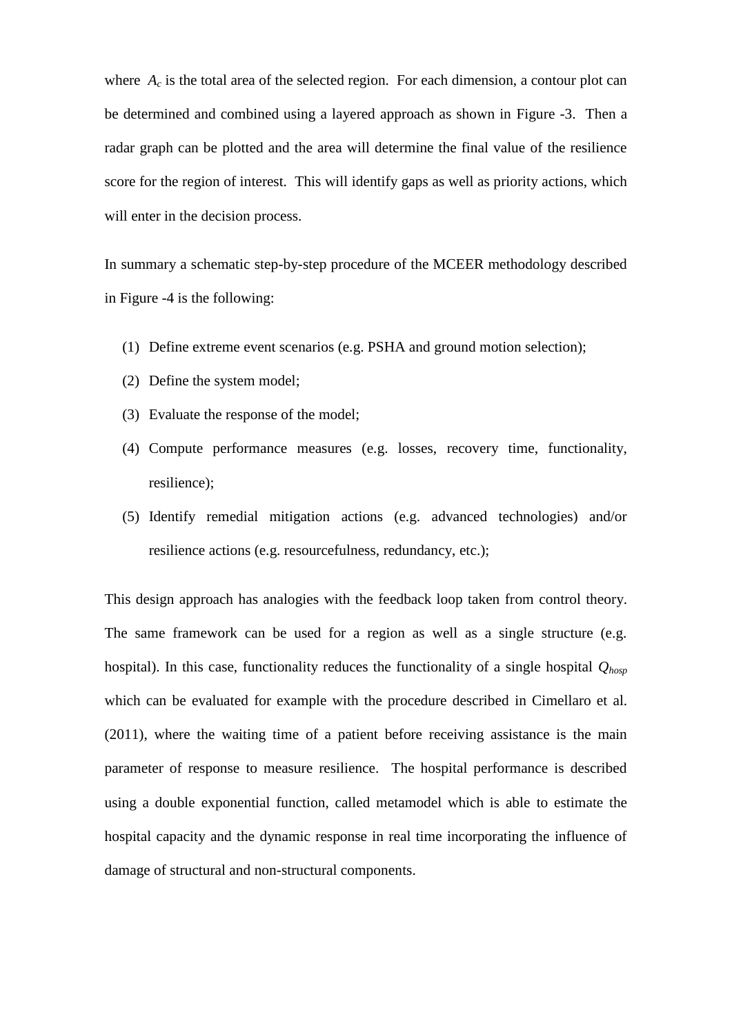where  $A_c$  is the total area of the selected region. For each dimension, a contour plot can be determined and combined using a layered approach as shown in [Figure -3.](#page-41-0) Then a radar graph can be plotted and the area will determine the final value of the resilience score for the region of interest. This will identify gaps as well as priority actions, which will enter in the decision process.

In summary a schematic step-by-step procedure of the MCEER methodology described in [Figure -4](#page-42-0) is the following:

- (1) Define extreme event scenarios (e.g. PSHA and ground motion selection);
- (2) Define the system model;
- (3) Evaluate the response of the model;
- (4) Compute performance measures (e.g. losses, recovery time, functionality, resilience);
- (5) Identify remedial mitigation actions (e.g. advanced technologies) and/or resilience actions (e.g. resourcefulness, redundancy, etc.);

This design approach has analogies with the feedback loop taken from control theory. The same framework can be used for a region as well as a single structure (e.g. hospital). In this case, functionality reduces the functionality of a single hospital *Qhosp* which can be evaluated for example with the procedure described in Cimellaro et al. (2011), where the waiting time of a patient before receiving assistance is the main parameter of response to measure resilience. The hospital performance is described using a double exponential function, called metamodel which is able to estimate the hospital capacity and the dynamic response in real time incorporating the influence of damage of structural and non-structural components.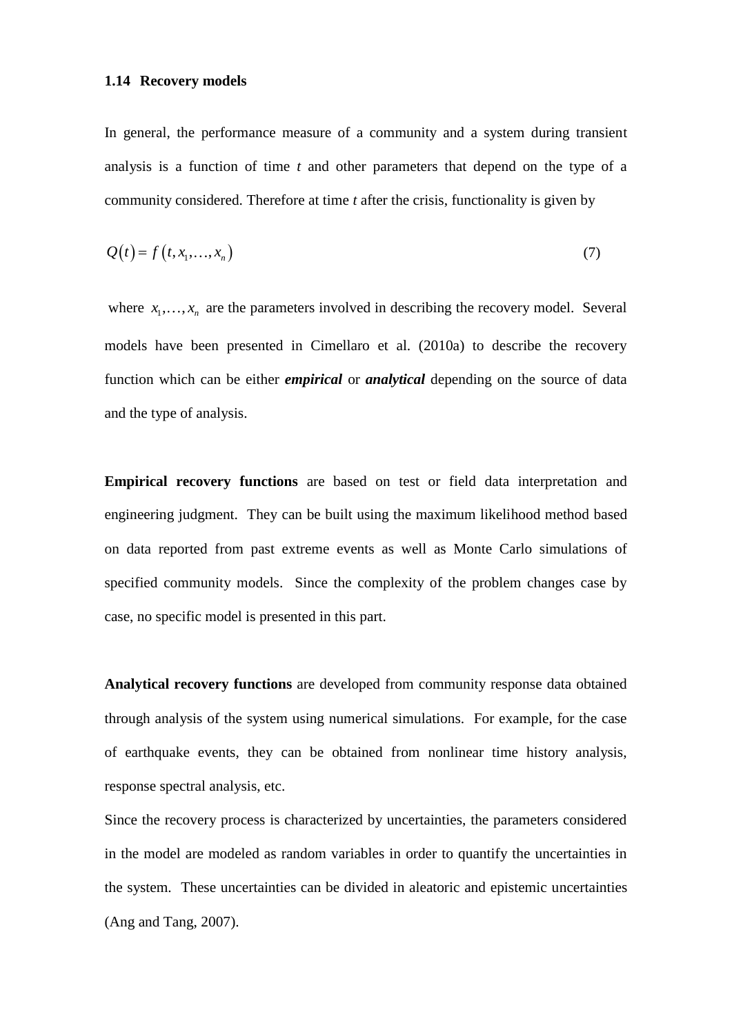## **1.14 Recovery models**

In general, the performance measure of a community and a system during transient analysis is a function of time *t* and other parameters that depend on the type of a community considered. Therefore at time *t* after the crisis, functionality is given by

$$
Q(t) = f(t, x_1, \dots, x_n) \tag{7}
$$

where  $x_1, \ldots, x_n$  are the parameters involved in describing the recovery model. Several models have been presented in Cimellaro et al. (2010a) to describe the recovery function which can be either *empirical* or *analytical* depending on the source of data and the type of analysis.

**Empirical recovery functions** are based on test or field data interpretation and engineering judgment. They can be built using the maximum likelihood method based on data reported from past extreme events as well as Monte Carlo simulations of specified community models. Since the complexity of the problem changes case by case, no specific model is presented in this part.

**Analytical recovery functions** are developed from community response data obtained through analysis of the system using numerical simulations. For example, for the case of earthquake events, they can be obtained from nonlinear time history analysis, response spectral analysis, etc.

Since the recovery process is characterized by uncertainties, the parameters considered in the model are modeled as random variables in order to quantify the uncertainties in the system. These uncertainties can be divided in aleatoric and epistemic uncertainties (Ang and Tang, 2007).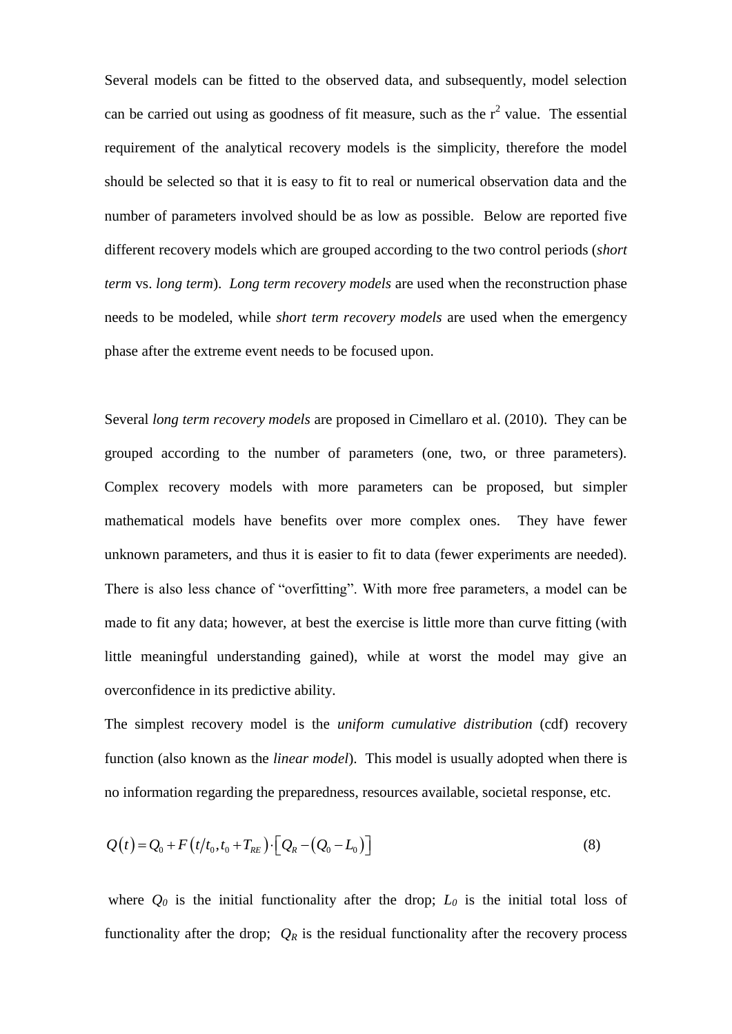Several models can be fitted to the observed data, and subsequently, model selection can be carried out using as goodness of fit measure, such as the  $r^2$  value. The essential requirement of the analytical recovery models is the simplicity, therefore the model should be selected so that it is easy to fit to real or numerical observation data and the number of parameters involved should be as low as possible. Below are reported five different recovery models which are grouped according to the two control periods (*short term* vs. *long term*). *Long term recovery models* are used when the reconstruction phase needs to be modeled, while *short term recovery models* are used when the emergency phase after the extreme event needs to be focused upon.

Several *long term recovery models* are proposed in Cimellaro et al. (2010). They can be grouped according to the number of parameters (one, two, or three parameters). Complex recovery models with more parameters can be proposed, but simpler mathematical models have benefits over more complex ones. They have fewer unknown parameters, and thus it is easier to fit to data (fewer experiments are needed). There is also less chance of "overfitting". With more free parameters, a model can be made to fit any data; however, at best the exercise is little more than curve fitting (with little meaningful understanding gained), while at worst the model may give an overconfidence in its predictive ability.

The simplest recovery model is the *uniform cumulative distribution* (cdf) recovery function (also known as the *linear model*). This model is usually adopted when there is no information regarding the preparedness, resources available, societal response, etc.

$$
Q(t) = Q_0 + F(t/t_0, t_0 + T_{RE}) \cdot [Q_R - (Q_0 - L_0)]
$$
\n(8)

where  $Q_0$  is the initial functionality after the drop;  $L_0$  is the initial total loss of functionality after the drop;  $Q_R$  is the residual functionality after the recovery process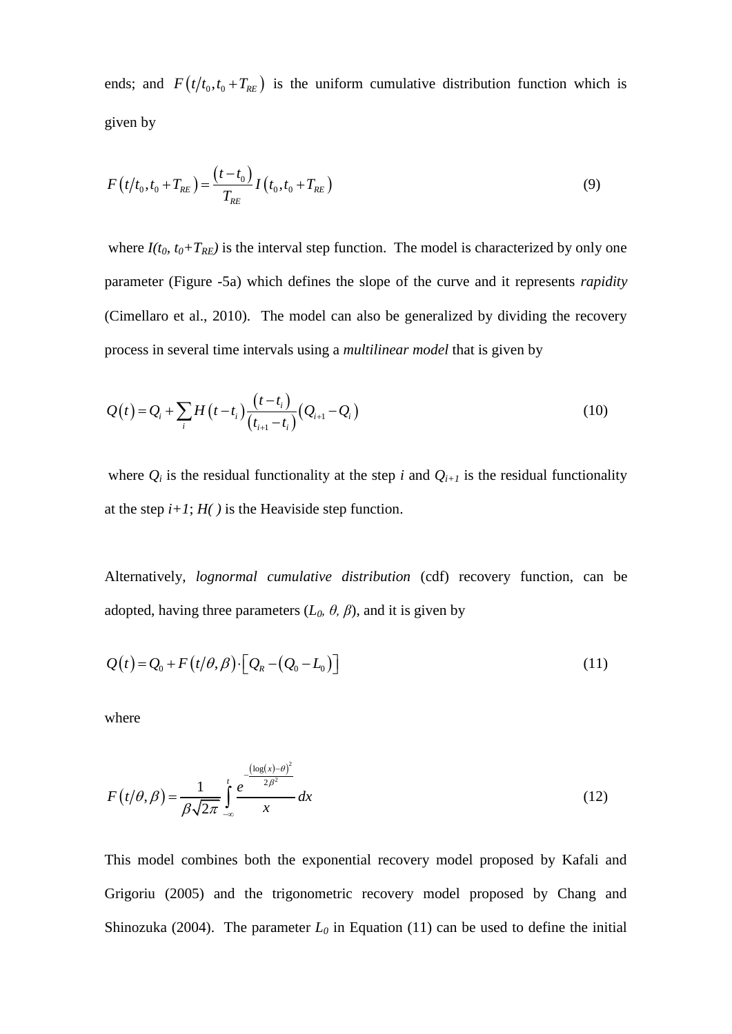ends; and  $F(t/t_0, t_0 + T_{RE})$  is the uniform cumulative distribution function which is given by

$$
F(t/t_0, t_0 + T_{RE}) = \frac{(t - t_0)}{T_{RE}} I(t_0, t_0 + T_{RE})
$$
\n(9)

where  $I(t_0, t_0+T_{RE})$  is the interval step function. The model is characterized by only one parameter [\(Figure -5a](#page-43-0)) which defines the slope of the curve and it represents *rapidity* (Cimellaro et al., 2010). The model can also be generalized by dividing the recovery process in several time intervals using a *multilinear model* that is given by

$$
Q(t) = Q_i + \sum_i H(t - t_i) \frac{(t - t_i)}{(t_{i+1} - t_i)} (Q_{i+1} - Q_i)
$$
\n(10)

where  $Q_i$  is the residual functionality at the step *i* and  $Q_{i+1}$  is the residual functionality at the step  $i+1$ ;  $H(j)$  is the Heaviside step function.

Alternatively, *lognormal cumulative distribution* (cdf) recovery function, can be adopted, having three parameters  $(L_0, \theta, \beta)$ , and it is given by

$$
Q(t) = Q_0 + F(t/\theta, \beta) \cdot [Q_R - (Q_0 - L_0)]
$$
\n(11)

where

$$
F(t/\theta, \beta) = \frac{1}{\beta \sqrt{2\pi}} \int_{-\infty}^{t} \frac{e^{-\frac{(\log(x) - \theta)^2}{2\beta^2}}}{x} dx
$$
 (12)

This model combines both the exponential recovery model proposed by Kafali and Grigoriu (2005) and the trigonometric recovery model proposed by Chang and Shinozuka (2004). The parameter  $L_0$  in Equation (11) can be used to define the initial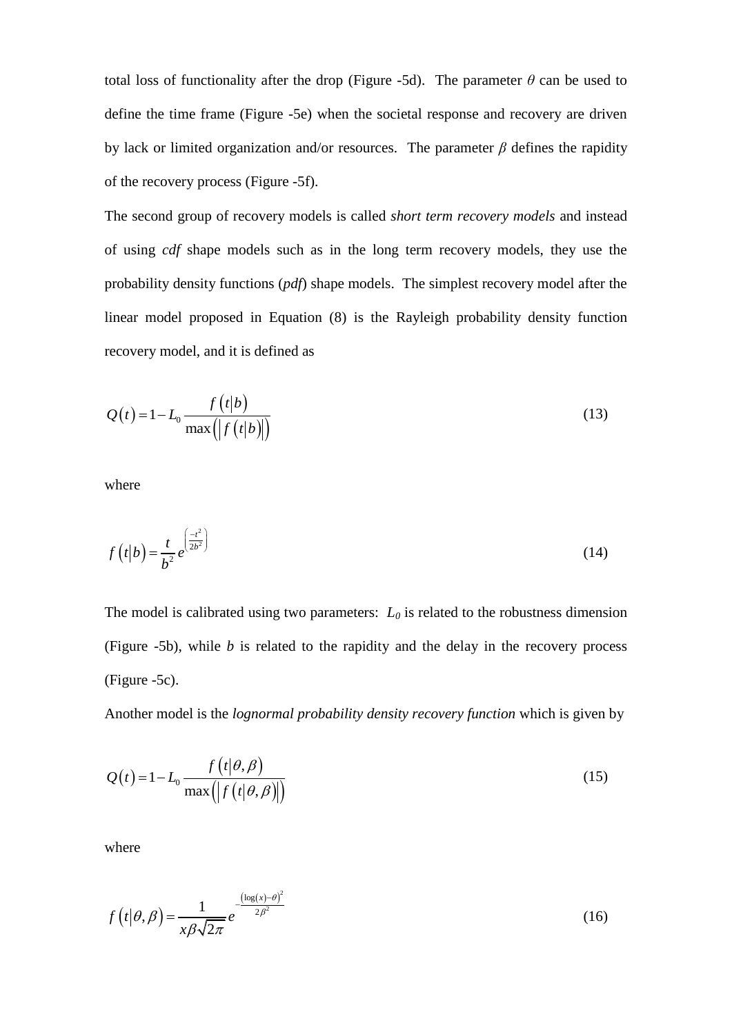total loss of functionality after the drop [\(Figure -5d](#page-43-0)). The parameter  $\theta$  can be used to define the time frame [\(Figure -5e](#page-43-0)) when the societal response and recovery are driven by lack or limited organization and/or resources. The parameter *β* defines the rapidity of the recovery process [\(Figure -5f](#page-43-0)).

The second group of recovery models is called *short term recovery models* and instead of using *cdf* shape models such as in the long term recovery models, they use the probability density functions (*pdf*) shape models. The simplest recovery model after the linear model proposed in Equation (8) is the Rayleigh probability density function recovery model, and it is defined as

$$
Q(t) = 1 - L_0 \frac{f(t|b)}{\max(|f(t|b)|)}
$$
\n(13)

where

$$
f(t|b) = \frac{t}{b^2} e^{\left(\frac{-t^2}{2b^2}\right)}
$$
 (14)

The model is calibrated using two parameters:  $L_0$  is related to the robustness dimension [\(Figure -5b](#page-43-0)), while *b* is related to the rapidity and the delay in the recovery process [\(Figure -5c](#page-43-0)).

Another model is the *lognormal probability density recovery function* which is given by

$$
Q(t) = 1 - L_0 \frac{f(t|\theta, \beta)}{\max(|f(t|\theta, \beta)|)}
$$
\n(15)

where

$$
f(t|\theta,\beta) = \frac{1}{x\beta\sqrt{2\pi}}e^{-\frac{(\log(x)-\theta)^2}{2\beta^2}}
$$
(16)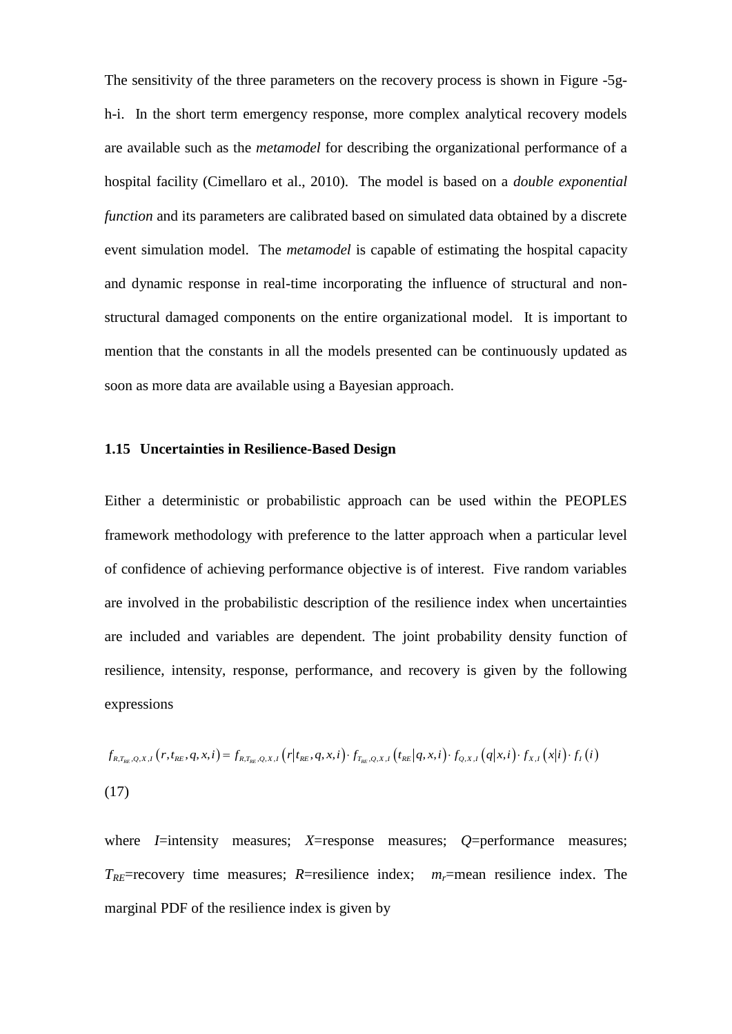The sensitivity of the three parameters on the recovery process is shown in [Figure -5g](#page-43-0)h-i. In the short term emergency response, more complex analytical recovery models are available such as the *metamodel* for describing the organizational performance of a hospital facility (Cimellaro et al., 2010). The model is based on a *double exponential function* and its parameters are calibrated based on simulated data obtained by a discrete event simulation model. The *metamodel* is capable of estimating the hospital capacity and dynamic response in real-time incorporating the influence of structural and nonstructural damaged components on the entire organizational model. It is important to mention that the constants in all the models presented can be continuously updated as soon as more data are available using a Bayesian approach.

#### **1.15 Uncertainties in Resilience-Based Design**

Either a deterministic or probabilistic approach can be used within the PEOPLES framework methodology with preference to the latter approach when a particular level of confidence of achieving performance objective is of interest. Five random variables are involved in the probabilistic description of the resilience index when uncertainties are included and variables are dependent. The joint probability density function of resilience, intensity, response, performance, and recovery is given by the following expressions

expressions  
\n
$$
f_{R,T_{RE},Q,X,I}(r,t_{RE},q,x,i) = f_{R,T_{RE},Q,X,I}(r|t_{RE},q,x,i) \cdot f_{T_{RE},Q,X,I}(t_{RE}|q,x,i) \cdot f_{Q,X,I}(q|x,i) \cdot f_{X,I}(x|i) \cdot f_{I}(i)
$$
\n(17)

where *I*=intensity measures; *X*=response measures; *Q*=performance measures;  $T_{RF}$ =recovery time measures; *R*=resilience index; *m<sub>r</sub>*=mean resilience index. The marginal PDF of the resilience index is given by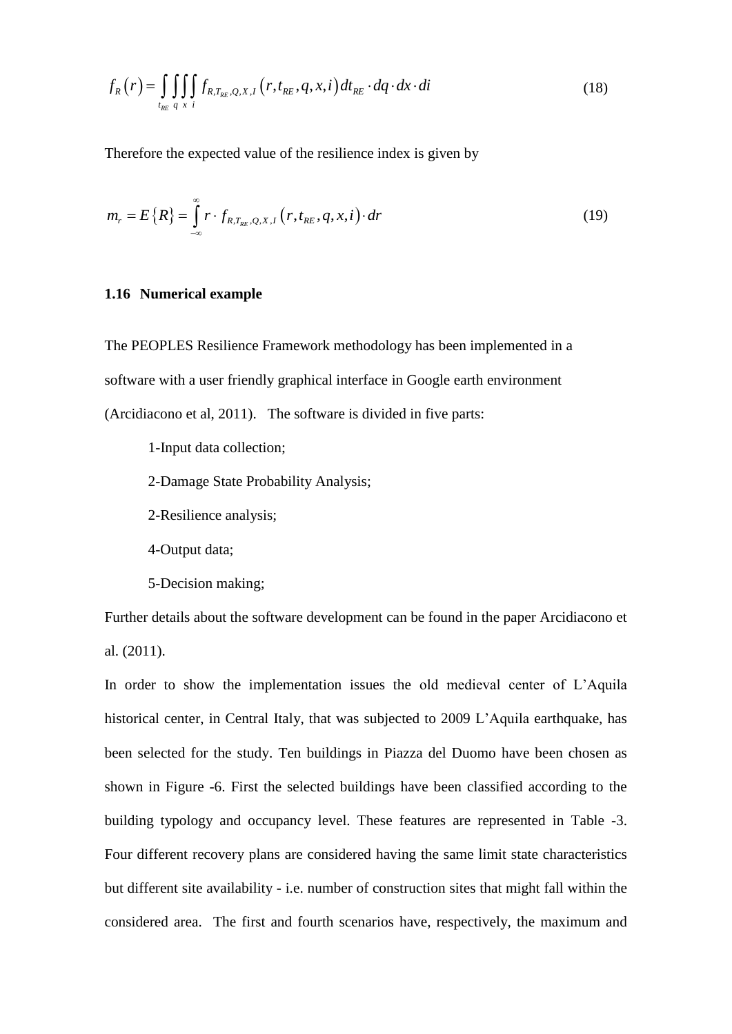$$
f_R(r) = \iint\limits_{t_{RE}} \iint\limits_{q} \iint\limits_{x} f_{R,T_{RE},Q,X,I}(r,t_{RE},q,x,i) dt_{RE} \cdot dq \cdot dx \cdot di
$$
 (18)

Therefore the expected value of the resilience index is given by

$$
m_r = E\{R\} = \int_{-\infty}^{\infty} r \cdot f_{R,T_{RE},Q,X,I}(r,t_{RE},q,x,i) \cdot dr
$$
 (19)

## **1.16 Numerical example**

The PEOPLES Resilience Framework methodology has been implemented in a software with a user friendly graphical interface in Google earth environment (Arcidiacono et al, 2011). The software is divided in five parts:

- 1-Input data collection;
- 2-Damage State Probability Analysis;
- 2-Resilience analysis;
- 4-Output data;
- 5-Decision making;

Further details about the software development can be found in the paper Arcidiacono et al. (2011).

In order to show the implementation issues the old medieval center of L'Aquila historical center, in Central Italy, that was subjected to 2009 L'Aquila earthquake, has been selected for the study. Ten buildings in Piazza del Duomo have been chosen as shown in [Figure -6.](#page-44-0) First the selected buildings have been classified according to the building typology and occupancy level. These features are represented in [Table -3.](#page-37-0) Four different recovery plans are considered having the same limit state characteristics but different site availability - i.e. number of construction sites that might fall within the considered area. The first and fourth scenarios have, respectively, the maximum and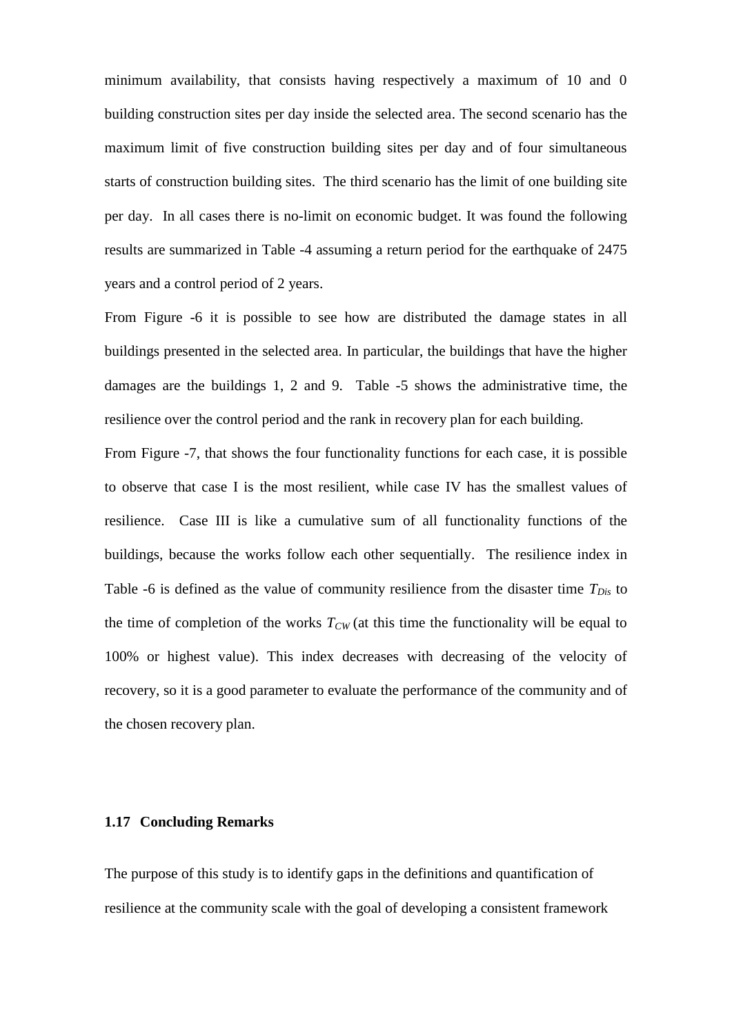minimum availability, that consists having respectively a maximum of 10 and 0 building construction sites per day inside the selected area. The second scenario has the maximum limit of five construction building sites per day and of four simultaneous starts of construction building sites. The third scenario has the limit of one building site per day. In all cases there is no-limit on economic budget. It was found the following results are summarized in [Table -4](#page-37-1) assuming a return period for the earthquake of 2475 years and a control period of 2 years.

From [Figure -6](#page-44-0) it is possible to see how are distributed the damage states in all buildings presented in the selected area. In particular, the buildings that have the higher damages are the buildings 1, 2 and 9. [Table -5](#page-37-2) shows the administrative time, the resilience over the control period and the rank in recovery plan for each building.

From [Figure -7,](#page-45-0) that shows the four functionality functions for each case, it is possible to observe that case I is the most resilient, while case IV has the smallest values of resilience. Case III is like a cumulative sum of all functionality functions of the buildings, because the works follow each other sequentially. The resilience index in [Table -6](#page-38-0) is defined as the value of community resilience from the disaster time *TDis* to the time of completion of the works  $T_{CW}$  (at this time the functionality will be equal to 100% or highest value). This index decreases with decreasing of the velocity of recovery, so it is a good parameter to evaluate the performance of the community and of the chosen recovery plan.

## **1.17 Concluding Remarks**

The purpose of this study is to identify gaps in the definitions and quantification of resilience at the community scale with the goal of developing a consistent framework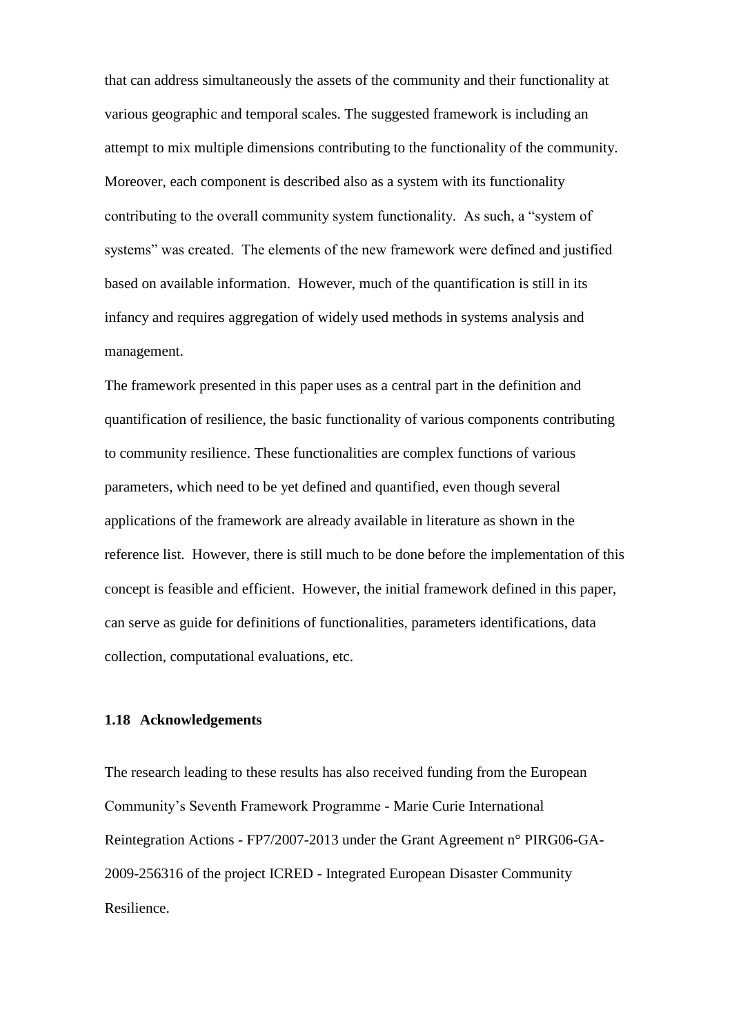that can address simultaneously the assets of the community and their functionality at various geographic and temporal scales. The suggested framework is including an attempt to mix multiple dimensions contributing to the functionality of the community. Moreover, each component is described also as a system with its functionality contributing to the overall community system functionality. As such, a "system of systems" was created. The elements of the new framework were defined and justified based on available information. However, much of the quantification is still in its infancy and requires aggregation of widely used methods in systems analysis and management.

The framework presented in this paper uses as a central part in the definition and quantification of resilience, the basic functionality of various components contributing to community resilience. These functionalities are complex functions of various parameters, which need to be yet defined and quantified, even though several applications of the framework are already available in literature as shown in the reference list. However, there is still much to be done before the implementation of this concept is feasible and efficient. However, the initial framework defined in this paper, can serve as guide for definitions of functionalities, parameters identifications, data collection, computational evaluations, etc.

## **1.18 Acknowledgements**

The research leading to these results has also received funding from the European Community's Seventh Framework Programme - Marie Curie International Reintegration Actions - FP7/2007-2013 under the Grant Agreement n° PIRG06-GA-2009-256316 of the project ICRED - Integrated European Disaster Community Resilience.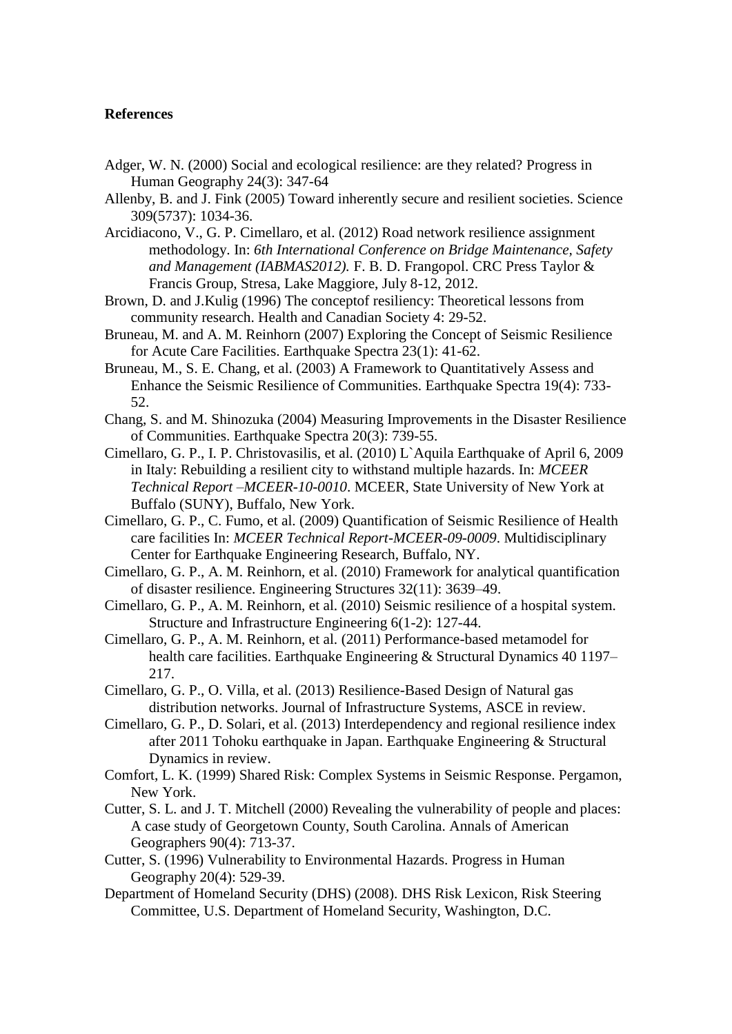## **References**

- Adger, W. N. (2000) Social and ecological resilience: are they related? Progress in Human Geography 24(3): 347-64
- Allenby, B. and J. Fink (2005) Toward inherently secure and resilient societies. Science 309(5737): 1034-36.
- Arcidiacono, V., G. P. Cimellaro, et al. (2012) Road network resilience assignment methodology. In: *6th International Conference on Bridge Maintenance, Safety and Management (IABMAS2012).* F. B. D. Frangopol. CRC Press Taylor & Francis Group, Stresa, Lake Maggiore, July 8-12, 2012.
- Brown, D. and J.Kulig (1996) The conceptof resiliency: Theoretical lessons from community research. Health and Canadian Society 4: 29-52.
- Bruneau, M. and A. M. Reinhorn (2007) Exploring the Concept of Seismic Resilience for Acute Care Facilities. Earthquake Spectra 23(1): 41-62.
- Bruneau, M., S. E. Chang, et al. (2003) A Framework to Quantitatively Assess and Enhance the Seismic Resilience of Communities. Earthquake Spectra 19(4): 733- 52.
- Chang, S. and M. Shinozuka (2004) Measuring Improvements in the Disaster Resilience of Communities. Earthquake Spectra 20(3): 739-55.
- Cimellaro, G. P., I. P. Christovasilis, et al. (2010) L`Aquila Earthquake of April 6, 2009 in Italy: Rebuilding a resilient city to withstand multiple hazards. In: *MCEER Technical Report –MCEER-10-0010*. MCEER, State University of New York at Buffalo (SUNY), Buffalo, New York.
- Cimellaro, G. P., C. Fumo, et al. (2009) Quantification of Seismic Resilience of Health care facilities In: *MCEER Technical Report-MCEER-09-0009*. Multidisciplinary Center for Earthquake Engineering Research, Buffalo, NY.
- Cimellaro, G. P., A. M. Reinhorn, et al. (2010) Framework for analytical quantification of disaster resilience. Engineering Structures 32(11): 3639–49.
- Cimellaro, G. P., A. M. Reinhorn, et al. (2010) Seismic resilience of a hospital system. Structure and Infrastructure Engineering 6(1-2): 127-44.
- Cimellaro, G. P., A. M. Reinhorn, et al. (2011) Performance-based metamodel for health care facilities. Earthquake Engineering & Structural Dynamics 40 1197– 217.
- Cimellaro, G. P., O. Villa, et al. (2013) Resilience-Based Design of Natural gas distribution networks. Journal of Infrastructure Systems, ASCE in review.
- Cimellaro, G. P., D. Solari, et al. (2013) Interdependency and regional resilience index after 2011 Tohoku earthquake in Japan. Earthquake Engineering & Structural Dynamics in review.
- Comfort, L. K. (1999) Shared Risk: Complex Systems in Seismic Response. Pergamon, New York.
- Cutter, S. L. and J. T. Mitchell (2000) Revealing the vulnerability of people and places: A case study of Georgetown County, South Carolina. Annals of American Geographers 90(4): 713-37.
- Cutter, S. (1996) Vulnerability to Environmental Hazards. Progress in Human Geography 20(4): 529-39.
- Department of Homeland Security (DHS) (2008). DHS Risk Lexicon, Risk Steering Committee, U.S. Department of Homeland Security, Washington, D.C.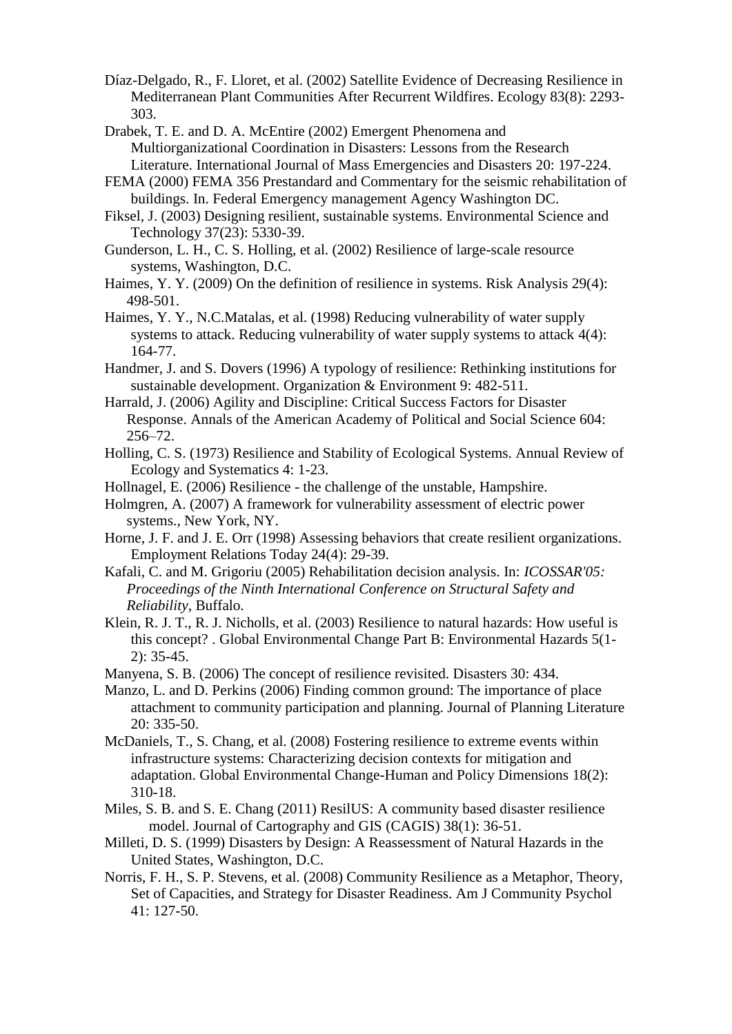- Díaz-Delgado, R., F. Lloret, et al. (2002) Satellite Evidence of Decreasing Resilience in Mediterranean Plant Communities After Recurrent Wildfires. Ecology 83(8): 2293- 303.
- Drabek, T. E. and D. A. McEntire (2002) Emergent Phenomena and Multiorganizational Coordination in Disasters: Lessons from the Research Literature. International Journal of Mass Emergencies and Disasters 20: 197-224.
- FEMA (2000) FEMA 356 Prestandard and Commentary for the seismic rehabilitation of buildings. In. Federal Emergency management Agency Washington DC.
- Fiksel, J. (2003) Designing resilient, sustainable systems. Environmental Science and Technology 37(23): 5330-39.
- Gunderson, L. H., C. S. Holling, et al. (2002) Resilience of large-scale resource systems, Washington, D.C.
- Haimes, Y. Y. (2009) On the definition of resilience in systems. Risk Analysis 29(4): 498-501.
- Haimes, Y. Y., N.C.Matalas, et al. (1998) Reducing vulnerability of water supply systems to attack. Reducing vulnerability of water supply systems to attack 4(4): 164-77.
- Handmer, J. and S. Dovers (1996) A typology of resilience: Rethinking institutions for sustainable development. Organization & Environment 9: 482-511.
- Harrald, J. (2006) Agility and Discipline: Critical Success Factors for Disaster Response. Annals of the American Academy of Political and Social Science 604: 256–72.
- Holling, C. S. (1973) Resilience and Stability of Ecological Systems. Annual Review of Ecology and Systematics 4: 1-23.
- Hollnagel, E. (2006) Resilience the challenge of the unstable, Hampshire.
- Holmgren, A. (2007) A framework for vulnerability assessment of electric power systems., New York, NY.
- Horne, J. F. and J. E. Orr (1998) Assessing behaviors that create resilient organizations. Employment Relations Today 24(4): 29-39.
- Kafali, C. and M. Grigoriu (2005) Rehabilitation decision analysis. In: *ICOSSAR'05: Proceedings of the Ninth International Conference on Structural Safety and Reliability*, Buffalo.
- Klein, R. J. T., R. J. Nicholls, et al. (2003) Resilience to natural hazards: How useful is this concept? . Global Environmental Change Part B: Environmental Hazards 5(1- 2): 35-45.
- Manyena, S. B. (2006) The concept of resilience revisited. Disasters 30: 434.
- Manzo, L. and D. Perkins (2006) Finding common ground: The importance of place attachment to community participation and planning. Journal of Planning Literature 20: 335-50.
- McDaniels, T., S. Chang, et al. (2008) Fostering resilience to extreme events within infrastructure systems: Characterizing decision contexts for mitigation and adaptation. Global Environmental Change-Human and Policy Dimensions 18(2): 310-18.
- Miles, S. B. and S. E. Chang (2011) ResilUS: A community based disaster resilience model. Journal of Cartography and GIS (CAGIS) 38(1): 36-51.
- Milleti, D. S. (1999) Disasters by Design: A Reassessment of Natural Hazards in the United States, Washington, D.C.
- Norris, F. H., S. P. Stevens, et al. (2008) Community Resilience as a Metaphor, Theory, Set of Capacities, and Strategy for Disaster Readiness. Am J Community Psychol 41: 127-50.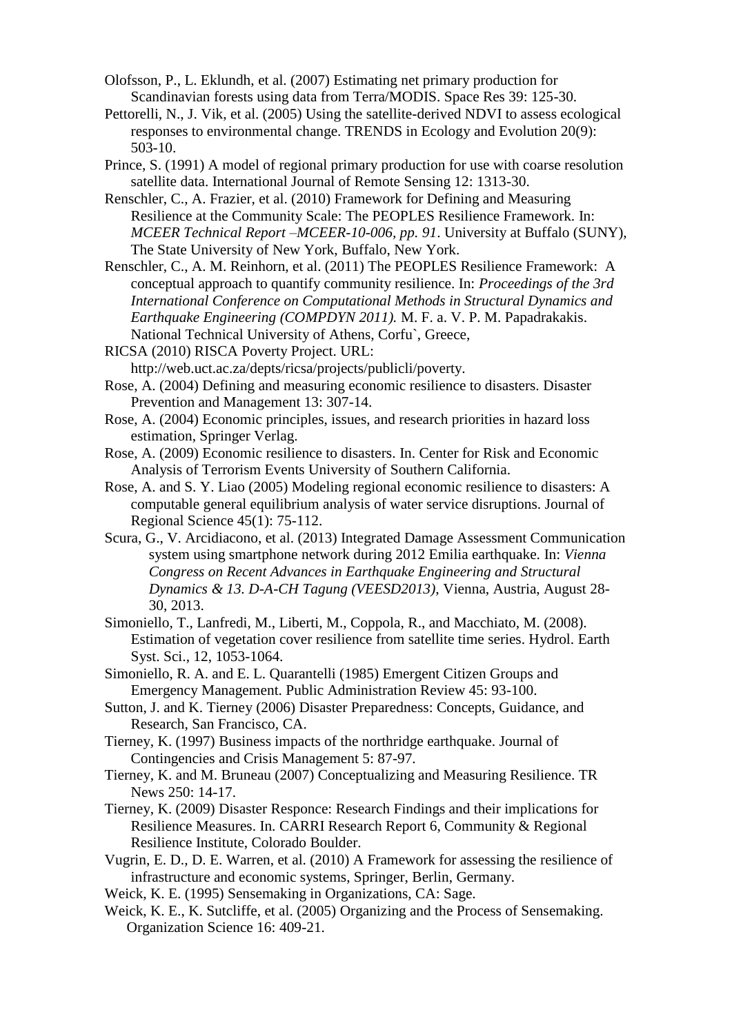- Olofsson, P., L. Eklundh, et al. (2007) Estimating net primary production for Scandinavian forests using data from Terra/MODIS. Space Res 39: 125-30.
- Pettorelli, N., J. Vik, et al. (2005) Using the satellite-derived NDVI to assess ecological responses to environmental change. TRENDS in Ecology and Evolution 20(9): 503-10.
- Prince, S. (1991) A model of regional primary production for use with coarse resolution satellite data. International Journal of Remote Sensing 12: 1313-30.
- Renschler, C., A. Frazier, et al. (2010) Framework for Defining and Measuring Resilience at the Community Scale: The PEOPLES Resilience Framework. In: *MCEER Technical Report –MCEER-10-006, pp. 91*. University at Buffalo (SUNY), The State University of New York, Buffalo, New York.
- Renschler, C., A. M. Reinhorn, et al. (2011) The PEOPLES Resilience Framework: A conceptual approach to quantify community resilience. In: *Proceedings of the 3rd International Conference on Computational Methods in Structural Dynamics and Earthquake Engineering (COMPDYN 2011).* M. F. a. V. P. M. Papadrakakis. National Technical University of Athens, Corfu`, Greece,
- RICSA (2010) RISCA Poverty Project. URL: http://web.uct.ac.za/depts/ricsa/projects/publicli/poverty.
- Rose, A. (2004) Defining and measuring economic resilience to disasters. Disaster Prevention and Management 13: 307-14.
- Rose, A. (2004) Economic principles, issues, and research priorities in hazard loss estimation, Springer Verlag.
- Rose, A. (2009) Economic resilience to disasters. In. Center for Risk and Economic Analysis of Terrorism Events University of Southern California.
- Rose, A. and S. Y. Liao (2005) Modeling regional economic resilience to disasters: A computable general equilibrium analysis of water service disruptions. Journal of Regional Science 45(1): 75-112.
- Scura, G., V. Arcidiacono, et al. (2013) Integrated Damage Assessment Communication system using smartphone network during 2012 Emilia earthquake. In: *Vienna Congress on Recent Advances in Earthquake Engineering and Structural Dynamics & 13. D-A-CH Tagung (VEESD2013)*, Vienna, Austria, August 28- 30, 2013.
- Simoniello, T., Lanfredi, M., Liberti, M., Coppola, R., and Macchiato, M. (2008). Estimation of vegetation cover resilience from satellite time series. Hydrol. Earth Syst. Sci., 12, 1053-1064.
- Simoniello, R. A. and E. L. Quarantelli (1985) Emergent Citizen Groups and Emergency Management. Public Administration Review 45: 93-100.
- Sutton, J. and K. Tierney (2006) Disaster Preparedness: Concepts, Guidance, and Research, San Francisco, CA.
- Tierney, K. (1997) Business impacts of the northridge earthquake. Journal of Contingencies and Crisis Management 5: 87-97.
- Tierney, K. and M. Bruneau (2007) Conceptualizing and Measuring Resilience. TR News 250: 14-17.
- Tierney, K. (2009) Disaster Responce: Research Findings and their implications for Resilience Measures. In. CARRI Research Report 6, Community & Regional Resilience Institute, Colorado Boulder.
- Vugrin, E. D., D. E. Warren, et al. (2010) A Framework for assessing the resilience of infrastructure and economic systems, Springer, Berlin, Germany.
- Weick, K. E. (1995) Sensemaking in Organizations, CA: Sage.
- Weick, K. E., K. Sutcliffe, et al. (2005) Organizing and the Process of Sensemaking. Organization Science 16: 409-21.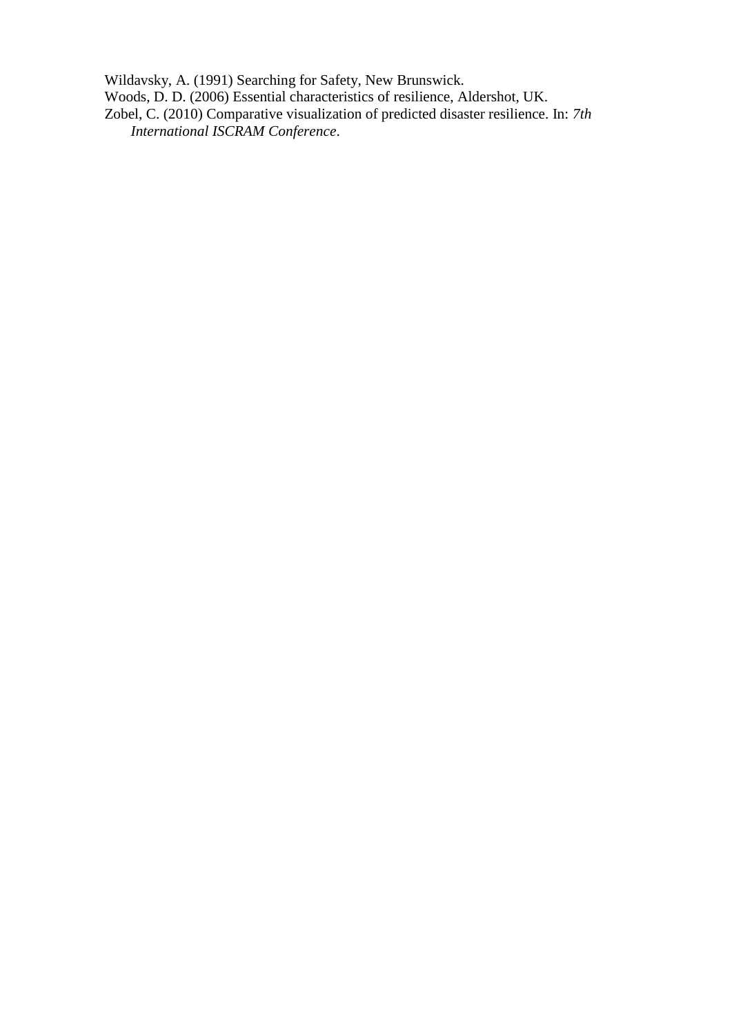Wildavsky, A. (1991) Searching for Safety, New Brunswick. Woods, D. D. (2006) Essential characteristics of resilience, Aldershot, UK. Zobel, C. (2010) Comparative visualization of predicted disaster resilience. In: *7th International ISCRAM Conference*.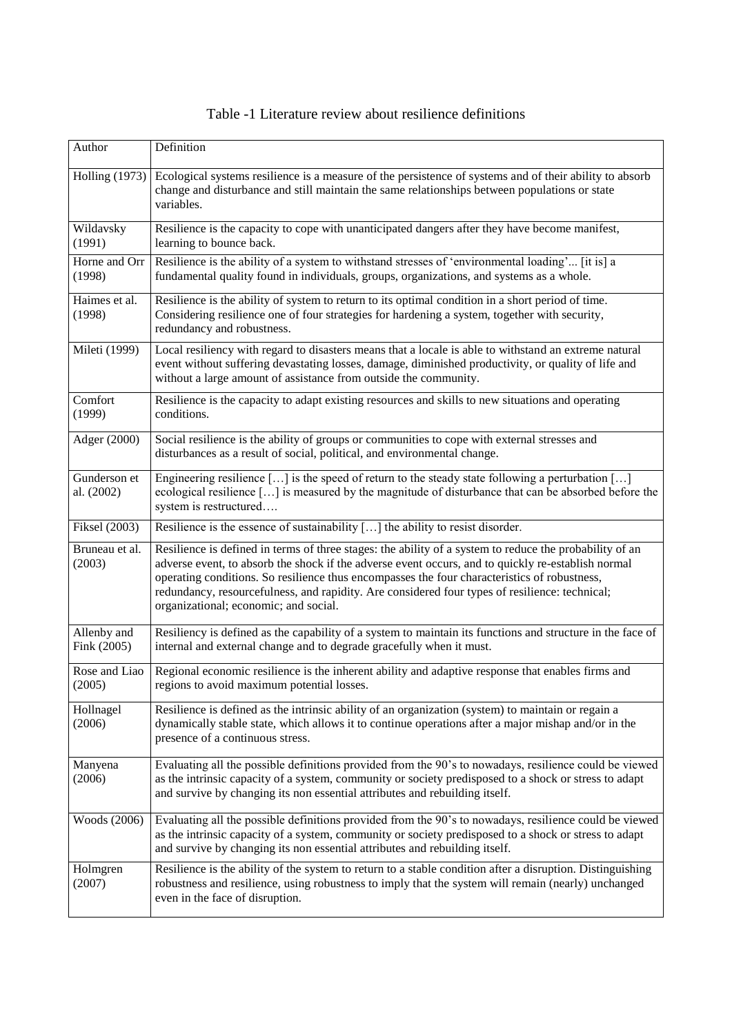<span id="page-34-0"></span>

| Author                     | Definition                                                                                                                                                                                                                                                                                                                                                                                                                                               |
|----------------------------|----------------------------------------------------------------------------------------------------------------------------------------------------------------------------------------------------------------------------------------------------------------------------------------------------------------------------------------------------------------------------------------------------------------------------------------------------------|
| <b>Holling</b> (1973)      | Ecological systems resilience is a measure of the persistence of systems and of their ability to absorb<br>change and disturbance and still maintain the same relationships between populations or state<br>variables.                                                                                                                                                                                                                                   |
| Wildavsky<br>(1991)        | Resilience is the capacity to cope with unanticipated dangers after they have become manifest,<br>learning to bounce back.                                                                                                                                                                                                                                                                                                                               |
| Horne and Orr<br>(1998)    | Resilience is the ability of a system to withstand stresses of 'environmental loading' [it is] a<br>fundamental quality found in individuals, groups, organizations, and systems as a whole.                                                                                                                                                                                                                                                             |
| Haimes et al.<br>(1998)    | Resilience is the ability of system to return to its optimal condition in a short period of time.<br>Considering resilience one of four strategies for hardening a system, together with security,<br>redundancy and robustness.                                                                                                                                                                                                                         |
| Mileti (1999)              | Local resiliency with regard to disasters means that a locale is able to withstand an extreme natural<br>event without suffering devastating losses, damage, diminished productivity, or quality of life and<br>without a large amount of assistance from outside the community.                                                                                                                                                                         |
| Comfort<br>(1999)          | Resilience is the capacity to adapt existing resources and skills to new situations and operating<br>conditions.                                                                                                                                                                                                                                                                                                                                         |
| Adger (2000)               | Social resilience is the ability of groups or communities to cope with external stresses and<br>disturbances as a result of social, political, and environmental change.                                                                                                                                                                                                                                                                                 |
| Gunderson et<br>al. (2002) | Engineering resilience [] is the speed of return to the steady state following a perturbation []<br>ecological resilience [] is measured by the magnitude of disturbance that can be absorbed before the<br>system is restructured                                                                                                                                                                                                                       |
| Fiksel (2003)              | Resilience is the essence of sustainability [] the ability to resist disorder.                                                                                                                                                                                                                                                                                                                                                                           |
| Bruneau et al.<br>(2003)   | Resilience is defined in terms of three stages: the ability of a system to reduce the probability of an<br>adverse event, to absorb the shock if the adverse event occurs, and to quickly re-establish normal<br>operating conditions. So resilience thus encompasses the four characteristics of robustness,<br>redundancy, resourcefulness, and rapidity. Are considered four types of resilience: technical;<br>organizational; economic; and social. |
| Allenby and<br>Fink (2005) | Resiliency is defined as the capability of a system to maintain its functions and structure in the face of<br>internal and external change and to degrade gracefully when it must.                                                                                                                                                                                                                                                                       |
| Rose and Liao<br>(2005)    | Regional economic resilience is the inherent ability and adaptive response that enables firms and<br>regions to avoid maximum potential losses.                                                                                                                                                                                                                                                                                                          |
| Hollnagel<br>(2006)        | Resilience is defined as the intrinsic ability of an organization (system) to maintain or regain a<br>dynamically stable state, which allows it to continue operations after a major mishap and/or in the<br>presence of a continuous stress.                                                                                                                                                                                                            |
| Manyena<br>(2006)          | Evaluating all the possible definitions provided from the 90's to nowadays, resilience could be viewed<br>as the intrinsic capacity of a system, community or society predisposed to a shock or stress to adapt<br>and survive by changing its non essential attributes and rebuilding itself.                                                                                                                                                           |
| Woods (2006)               | Evaluating all the possible definitions provided from the 90's to nowadays, resilience could be viewed<br>as the intrinsic capacity of a system, community or society predisposed to a shock or stress to adapt<br>and survive by changing its non essential attributes and rebuilding itself.                                                                                                                                                           |
| Holmgren<br>(2007)         | Resilience is the ability of the system to return to a stable condition after a disruption. Distinguishing<br>robustness and resilience, using robustness to imply that the system will remain (nearly) unchanged<br>even in the face of disruption.                                                                                                                                                                                                     |

## Table -1 Literature review about resilience definitions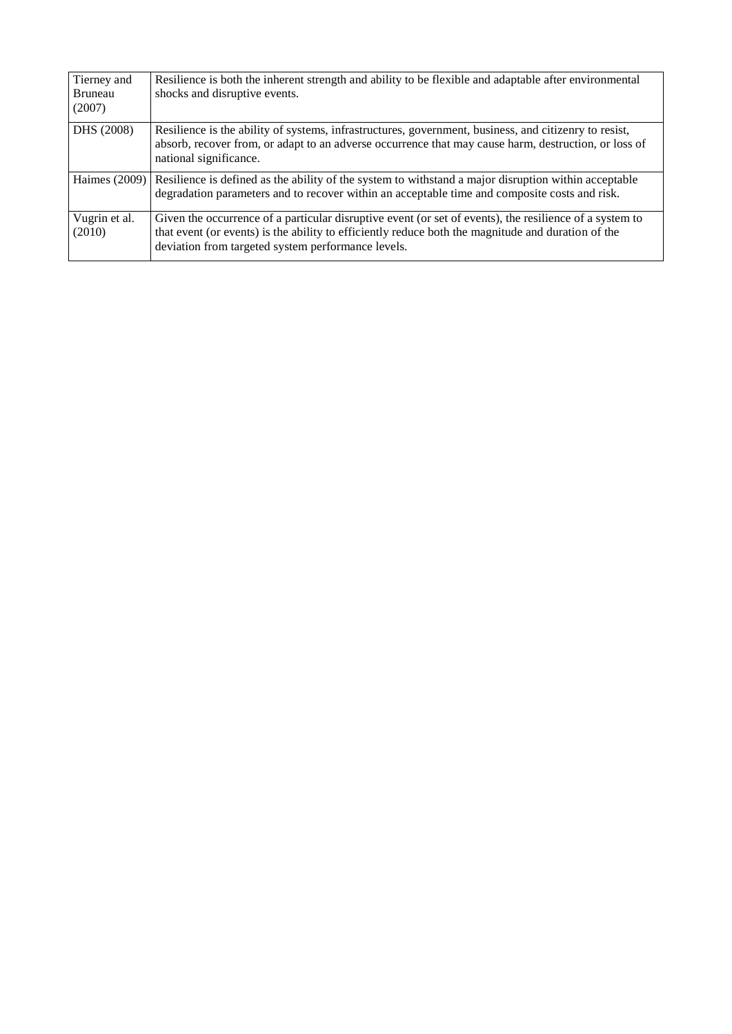| Tierney and<br><b>Bruneau</b><br>(2007) | Resilience is both the inherent strength and ability to be flexible and adaptable after environmental<br>shocks and disruptive events.                                                                                                                              |
|-----------------------------------------|---------------------------------------------------------------------------------------------------------------------------------------------------------------------------------------------------------------------------------------------------------------------|
| DHS (2008)                              | Resilience is the ability of systems, infrastructures, government, business, and citizenry to resist,<br>absorb, recover from, or adapt to an adverse occurrence that may cause harm, destruction, or loss of<br>national significance.                             |
| Haimes (2009)                           | Resilience is defined as the ability of the system to with stand a major disruption within acceptable<br>degradation parameters and to recover within an acceptable time and composite costs and risk.                                                              |
| Vugrin et al.<br>(2010)                 | Given the occurrence of a particular disruptive event (or set of events), the resilience of a system to<br>that event (or events) is the ability to efficiently reduce both the magnitude and duration of the<br>deviation from targeted system performance levels. |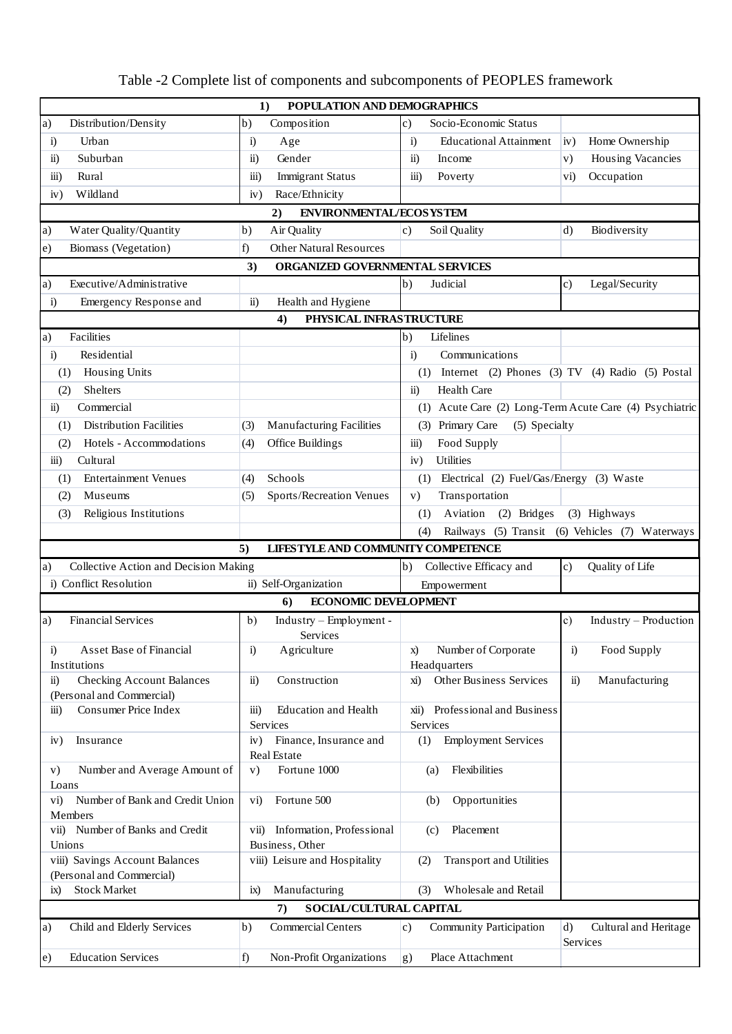| POPULATION AND DEMOGRAPHICS<br>1)                                                                      |                                                      |                                                         |                                                   |  |  |  |  |  |  |
|--------------------------------------------------------------------------------------------------------|------------------------------------------------------|---------------------------------------------------------|---------------------------------------------------|--|--|--|--|--|--|
| Distribution/Density<br>a)                                                                             | Composition<br>b)                                    | Socio-Economic Status<br>$\mathbf{c})$                  |                                                   |  |  |  |  |  |  |
| Urban<br>$\ddot{a}$                                                                                    | Age<br>i)                                            | <b>Educational Attainment</b><br>$\ddot{1}$             | Home Ownership<br>iv)                             |  |  |  |  |  |  |
| $\ddot{\textbf{i}}$<br>Suburban                                                                        | Gender<br>ii)                                        | $\ddot{\textbf{i}}$<br>Income                           | Housing Vacancies<br> v)                          |  |  |  |  |  |  |
| $\ddot{\text{iii}})$<br>Rural                                                                          | iii)<br><b>Immigrant Status</b>                      | $\overline{iii}$<br>Poverty                             | Occupation<br>$\mathbf{v}$ i)                     |  |  |  |  |  |  |
| Wildland<br>iv)                                                                                        | Race/Ethnicity<br>iv)                                |                                                         |                                                   |  |  |  |  |  |  |
|                                                                                                        |                                                      |                                                         |                                                   |  |  |  |  |  |  |
| Water Quality/Quantity                                                                                 | <b>ENVIRONMENTAL/ECOSYSTEM</b><br>2)                 |                                                         |                                                   |  |  |  |  |  |  |
| a)                                                                                                     | Air Quality<br>b)                                    | Soil Quality<br>$\mathbf{c}$                            | Biodiversity<br>$\mathbf{d}$                      |  |  |  |  |  |  |
| <b>Other Natural Resources</b><br>Biomass (Vegetation)<br>f)<br> e)<br>ORGANIZED GOVERNMENTAL SERVICES |                                                      |                                                         |                                                   |  |  |  |  |  |  |
|                                                                                                        | 3)                                                   |                                                         |                                                   |  |  |  |  |  |  |
| Executive/Administrative<br>a)                                                                         |                                                      | b)<br>Judicial                                          | Legal/Security<br>$\circ$ )                       |  |  |  |  |  |  |
| $\ddot{a}$<br>Emergency Response and                                                                   | $\ddot{\mathbf{i}}$<br>Health and Hygiene            |                                                         |                                                   |  |  |  |  |  |  |
|                                                                                                        | PHYSICAL INFRASTRUCTURE<br>4)                        |                                                         |                                                   |  |  |  |  |  |  |
| Facilities<br>a)                                                                                       |                                                      | b)<br>Lifelines                                         |                                                   |  |  |  |  |  |  |
| Residential<br>$\ddot{1}$                                                                              |                                                      | Communications<br>$\ddot{a}$                            |                                                   |  |  |  |  |  |  |
| Housing Units<br>(1)                                                                                   |                                                      | (1) Internet (2) Phones (3) TV (4) Radio (5) Postal     |                                                   |  |  |  |  |  |  |
| Shelters<br>(2)                                                                                        |                                                      | <b>Health Care</b><br>$\ddot{\textbf{i}}$               |                                                   |  |  |  |  |  |  |
| Commercial<br>$\ddot{\text{ii}})$                                                                      |                                                      | (1) Acute Care (2) Long-Term Acute Care (4) Psychiatric |                                                   |  |  |  |  |  |  |
| <b>Distribution Facilities</b><br>(1)                                                                  | Manufacturing Facilities<br>(3)                      | (3) Primary Care<br>(5) Specialty                       |                                                   |  |  |  |  |  |  |
| Hotels - Accommodations<br>(2)                                                                         | Office Buildings<br>(4)                              | Food Supply<br>$\overline{iii}$                         |                                                   |  |  |  |  |  |  |
| Cultural<br>$\dddot{\mathbf{i}}$                                                                       |                                                      | Utilities<br>iv)                                        |                                                   |  |  |  |  |  |  |
| <b>Entertainment Venues</b><br>(1)                                                                     | Schools<br>(4)                                       | Electrical (2) Fuel/Gas/Energy (3) Waste<br>(1)         |                                                   |  |  |  |  |  |  |
| (2)<br>Museums                                                                                         | Sports/Recreation Venues<br>(5)                      | Transportation<br>V)                                    |                                                   |  |  |  |  |  |  |
| Religious Institutions<br>(3)                                                                          |                                                      | Aviation<br>(2) Bridges<br>(1)                          | (3) Highways                                      |  |  |  |  |  |  |
|                                                                                                        |                                                      | (4)                                                     | Railways (5) Transit (6) Vehicles (7) Waterways   |  |  |  |  |  |  |
|                                                                                                        | LIFESTYLE AND COMMUNITY COMPETENCE<br>5)             |                                                         |                                                   |  |  |  |  |  |  |
| Collective Action and Decision Making<br>a)                                                            |                                                      | b)<br>Collective Efficacy and                           | Quality of Life<br> c)                            |  |  |  |  |  |  |
| i) Conflict Resolution                                                                                 | ii) Self-Organization                                | Empowerment                                             |                                                   |  |  |  |  |  |  |
|                                                                                                        | <b>ECONOMIC DEVELOPMENT</b><br>6)                    |                                                         |                                                   |  |  |  |  |  |  |
| <b>Financial Services</b><br>a)                                                                        | Industry - Employment -<br>b)<br>Services            |                                                         | Industry - Production<br>c)                       |  |  |  |  |  |  |
| Asset Base of Financial<br>i)<br>Institutions                                                          | Agriculture<br>$\ddot{i}$                            | Number of Corporate<br>X)<br>Headquarters               | Food Supply<br>$\ddot{a}$                         |  |  |  |  |  |  |
| <b>Checking Account Balances</b><br>$\ddot{\text{ii}})$<br>(Personal and Commercial)                   | ii)<br>Construction                                  | Other Business Services<br>xi)                          | Manufacturing<br>$\ddot{\text{1}}$                |  |  |  |  |  |  |
| Consumer Price Index<br>iii)                                                                           | <b>Education</b> and Health<br>iii)<br>Services      | Professional and Business<br>xii)<br>Services           |                                                   |  |  |  |  |  |  |
| Insurance<br>iv)                                                                                       | Finance, Insurance and<br>iv)<br>Real Estate         | <b>Employment Services</b><br>(1)                       |                                                   |  |  |  |  |  |  |
| Number and Average Amount of<br>V)<br>Loans                                                            | Fortune 1000<br>V)                                   | Flexibilities<br>(a)                                    |                                                   |  |  |  |  |  |  |
| Number of Bank and Credit Union<br>$\mathbf{v}$ i)<br>Members                                          | Fortune 500<br>$\mathbf{v}$ i)                       | Opportunities<br>(b)                                    |                                                   |  |  |  |  |  |  |
| vii) Number of Banks and Credit                                                                        | Information, Professional<br>$\overline{\text{vii}}$ | Placement<br>(c)                                        |                                                   |  |  |  |  |  |  |
| Unions<br>viii) Savings Account Balances                                                               | Business, Other<br>viii) Leisure and Hospitality     | Transport and Utilities<br>(2)                          |                                                   |  |  |  |  |  |  |
| (Personal and Commercial)                                                                              |                                                      |                                                         |                                                   |  |  |  |  |  |  |
| <b>Stock Market</b><br>ix)                                                                             | Manufacturing<br>ix)                                 | Wholesale and Retail<br>(3)                             |                                                   |  |  |  |  |  |  |
|                                                                                                        | SOCIAL/CULTURAL CAPITAL<br>7)                        |                                                         |                                                   |  |  |  |  |  |  |
| Child and Elderly Services<br> a)                                                                      | <b>Commercial Centers</b><br>b)                      | $\mathbf{c})$<br>Community Participation                | $\mathbf{d}$<br>Cultural and Heritage<br>Services |  |  |  |  |  |  |
| <b>Education Services</b><br>$\vert e)$                                                                | Non-Profit Organizations<br>f)                       | Place Attachment<br>g)                                  |                                                   |  |  |  |  |  |  |

# <span id="page-36-0"></span>Table -2 Complete list of components and subcomponents of PEOPLES framework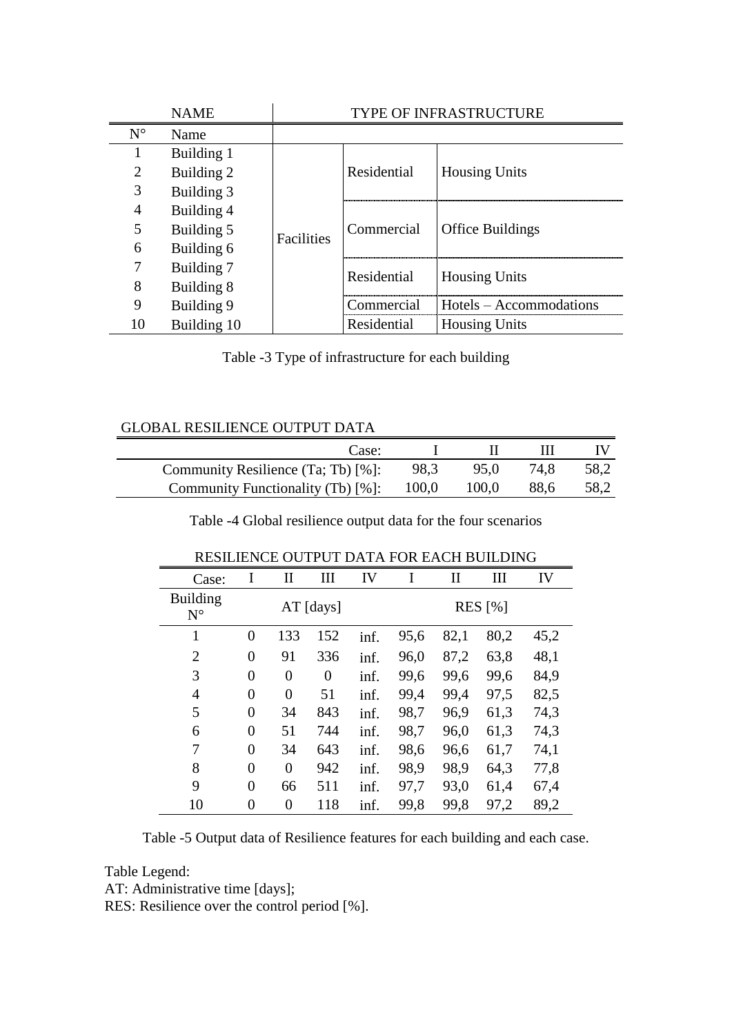| <b>NAME</b>                 |             | <b>TYPE OF INFRASTRUCTURE</b> |                                    |                         |  |  |
|-----------------------------|-------------|-------------------------------|------------------------------------|-------------------------|--|--|
| $N^{\circ}$                 | Name        |                               |                                    |                         |  |  |
|                             | Building 1  |                               |                                    |                         |  |  |
| $\mathcal{D}_{\mathcal{L}}$ | Building 2  |                               | Residential                        | <b>Housing Units</b>    |  |  |
| 3                           | Building 3  |                               |                                    |                         |  |  |
| 4                           | Building 4  |                               |                                    |                         |  |  |
|                             | Building 5  | Facilities                    | Commercial                         | <b>Office Buildings</b> |  |  |
| 6                           | Building 6  |                               |                                    |                         |  |  |
|                             | Building 7  |                               | Residential                        | <b>Housing Units</b>    |  |  |
| 8                           | Building 8  |                               |                                    |                         |  |  |
| 9                           | Building 9  |                               | $\cap$ ommer $\operatorname{cial}$ | Hotels – Accommodations |  |  |
| 10                          | Building 10 |                               | Residential                        | <b>Housing Units</b>    |  |  |

| Table -3 Type of infrastructure for each building |  |  |
|---------------------------------------------------|--|--|
|---------------------------------------------------|--|--|

## <span id="page-37-0"></span>GLOBAL RESILIENCE OUTPUT DATA

<span id="page-37-1"></span>

| Case:                              |       |       |      |      |
|------------------------------------|-------|-------|------|------|
| Community Resilience (Ta; Tb) [%]: | 98.3  | 95.0  | 74,8 | 58,2 |
| Community Functionality (Tb) [%]:  | 100,0 | 100.0 | 88,6 | 58,2 |

Table -4 Global resilience output data for the four scenarios

| Case:                          | I              | П              | Ш                | IV   | I              | $\mathbf{I}$ | Ш    | IV   |
|--------------------------------|----------------|----------------|------------------|------|----------------|--------------|------|------|
| <b>Building</b><br>$N^{\circ}$ | $AT$ [days]    |                |                  |      | <b>RES</b> [%] |              |      |      |
| 1                              | $\overline{0}$ | 133            | 152              | inf. | 95,6           | 82,1         | 80,2 | 45,2 |
| $\overline{2}$                 | $\overline{0}$ | 91             | 336              | inf. | 96,0           | 87,2         | 63,8 | 48,1 |
| 3                              | $\overline{0}$ | $\overline{0}$ | $\boldsymbol{0}$ | inf. | 99,6           | 99,6         | 99,6 | 84,9 |
| $\overline{4}$                 | $\overline{0}$ | $\overline{0}$ | 51               | inf. | 99,4           | 99,4         | 97,5 | 82,5 |
| 5                              | $\overline{0}$ | 34             | 843              | inf. | 98,7           | 96,9         | 61,3 | 74,3 |
| 6                              | $\overline{0}$ | 51             | 744              | inf. | 98,7           | 96,0         | 61,3 | 74,3 |
| 7                              | $\overline{0}$ | 34             | 643              | inf. | 98,6           | 96,6         | 61,7 | 74,1 |
| 8                              | $\overline{0}$ | $\overline{0}$ | 942              | inf. | 98,9           | 98,9         | 64,3 | 77,8 |
| 9                              | $\overline{0}$ | 66             | 511              | inf. | 97,7           | 93,0         | 61,4 | 67,4 |
| 10                             | $\overline{0}$ | $\theta$       | 118              | inf. | 99.8           | 99.8         | 97,2 | 89,2 |

## RESILIENCE OUTPUT DATA FOR EACH BUILDING

<span id="page-37-2"></span>Table -5 Output data of Resilience features for each building and each case.

Table Legend:

AT: Administrative time [days];

RES: Resilience over the control period [%].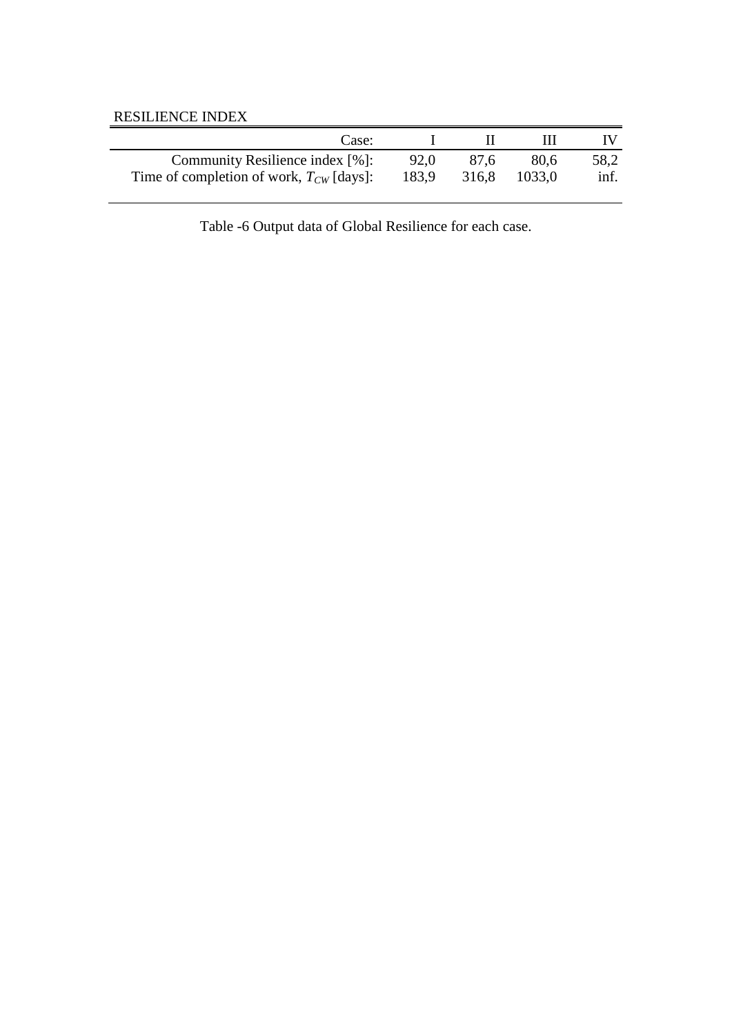## RESILIENCE INDEX

<span id="page-38-0"></span>

| Case:                                        |       |      |              |      |
|----------------------------------------------|-------|------|--------------|------|
| Community Resilience index [%]:              | 92.0  | 87.6 | 80.6         | 58,2 |
| Time of completion of work, $T_{CW}$ [days]: | 183.9 |      | 316.8 1033,0 | inf. |

Table -6 Output data of Global Resilience for each case.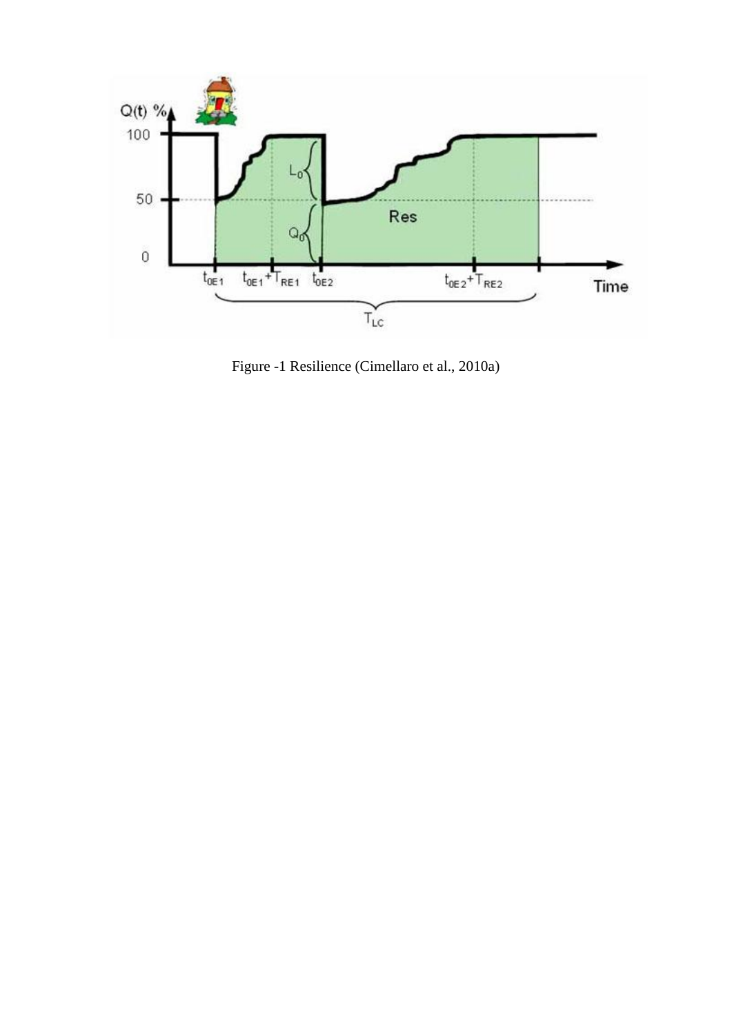

<span id="page-39-0"></span>Figure -1 Resilience (Cimellaro et al., 2010a)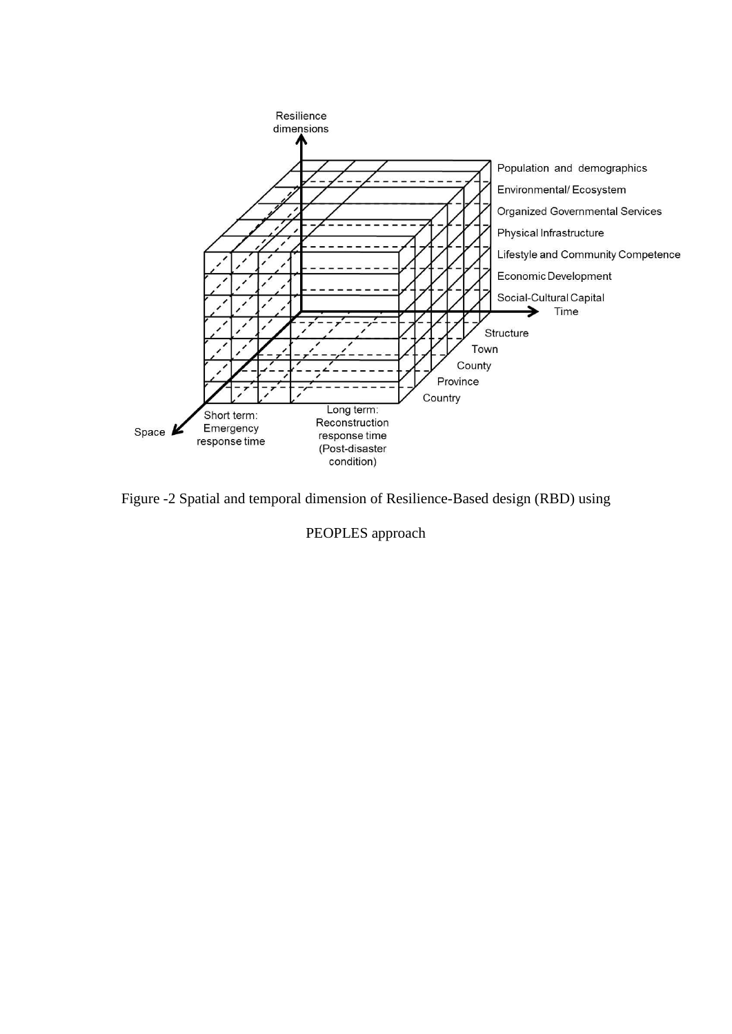

<span id="page-40-0"></span>Figure -2 Spatial and temporal dimension of Resilience-Based design (RBD) using

PEOPLES approach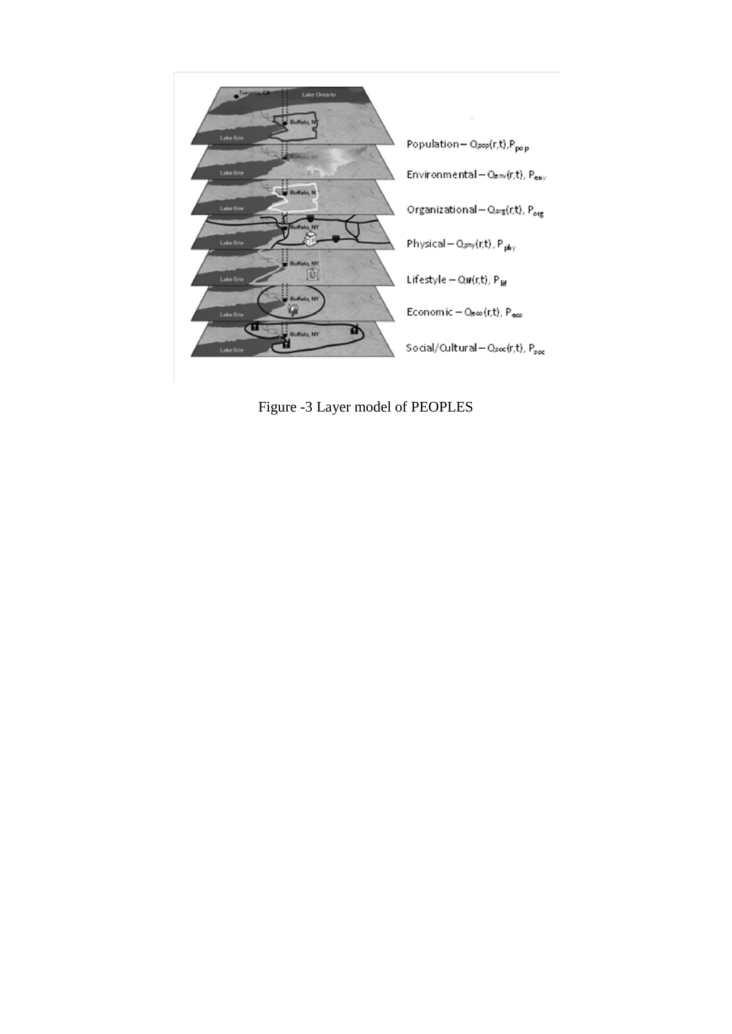

<span id="page-41-0"></span>Figure -3 Layer model of PEOPLES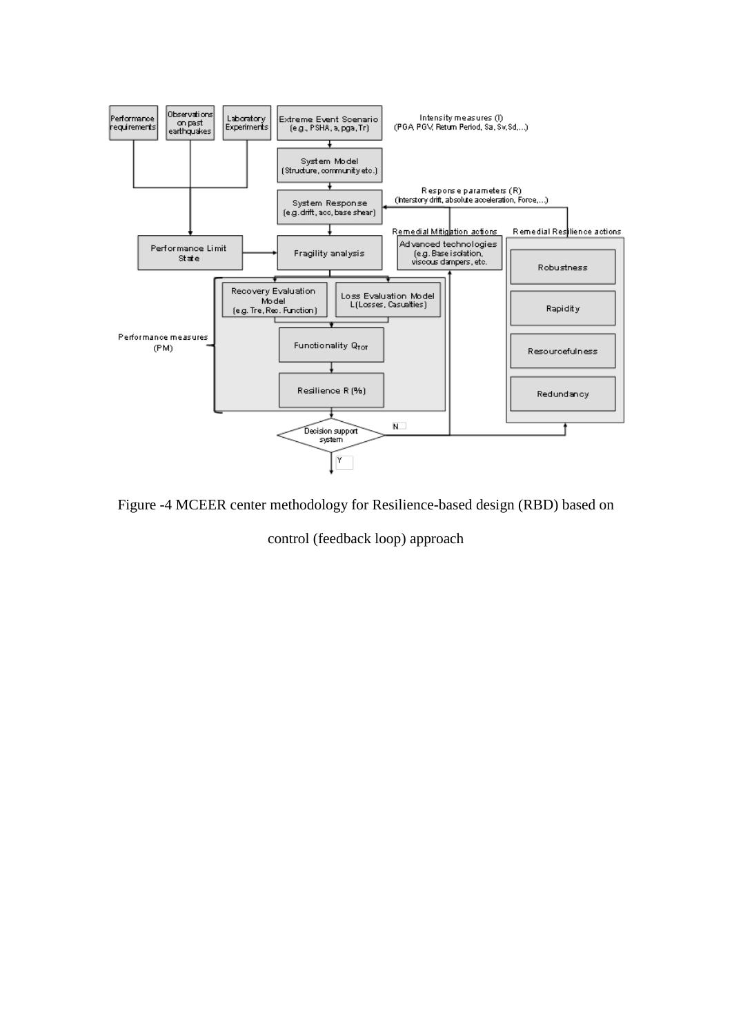

<span id="page-42-0"></span>Figure -4 MCEER center methodology for Resilience-based design (RBD) based on

control (feedback loop) approach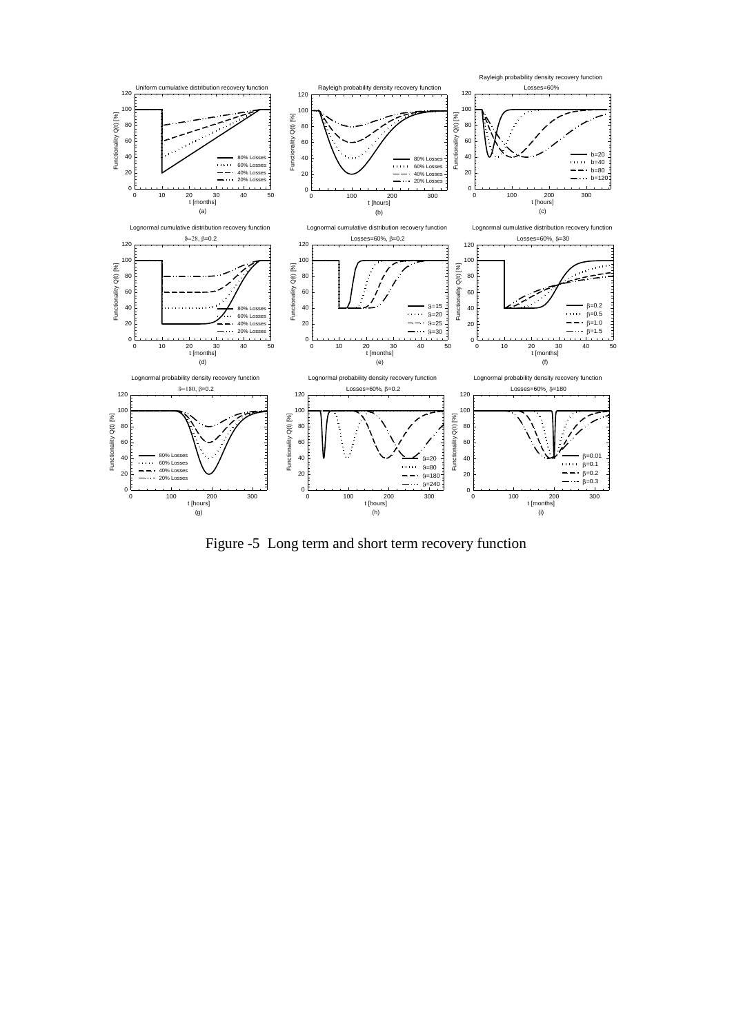

<span id="page-43-0"></span>Figure -5 Long term and short term recovery function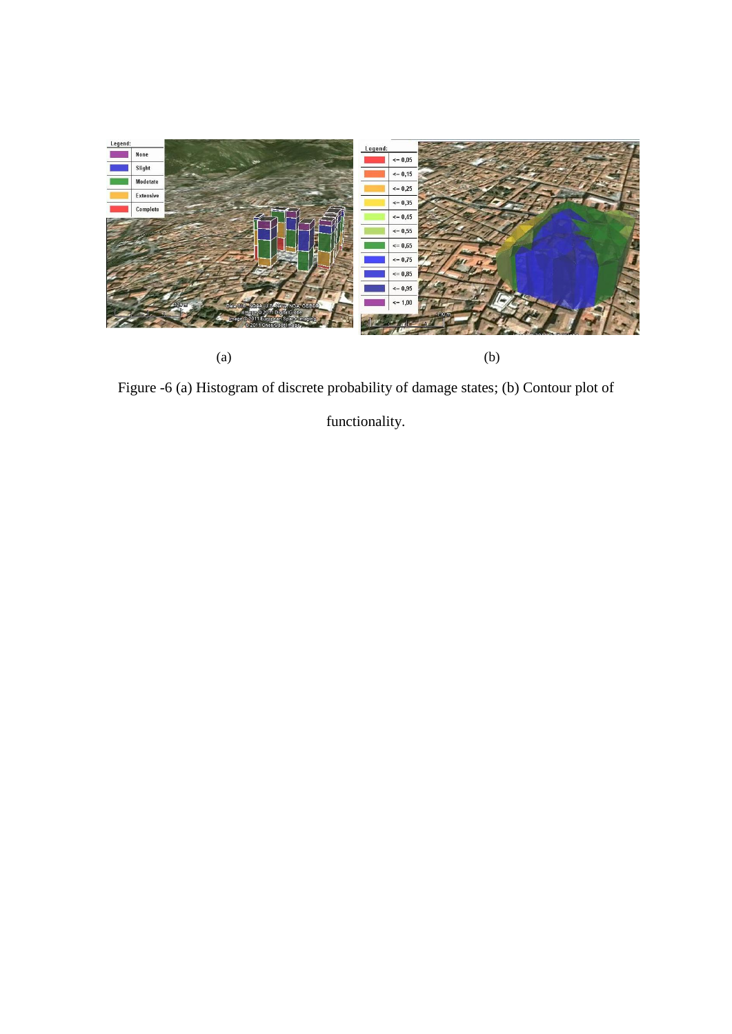

Figure -6 (a) Histogram of discrete probability of damage states; (b) Contour plot of

<span id="page-44-0"></span>functionality.